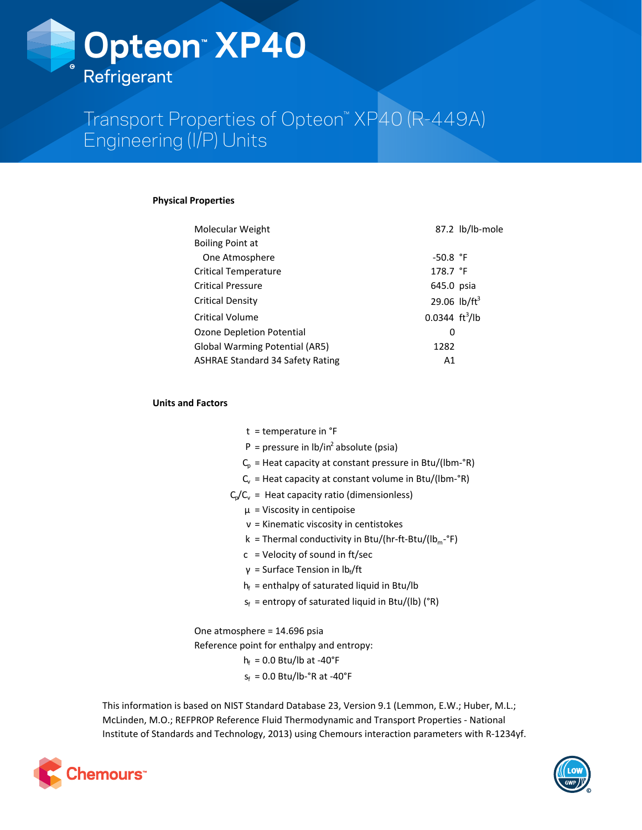

# Transport Properties of Opteon™ XP40 (R-449A) Engineering (I/P) Units

## **Physical Properties**

| Molecular Weight                        |                                 | 87.2 lb/lb-mole |
|-----------------------------------------|---------------------------------|-----------------|
| <b>Boiling Point at</b>                 |                                 |                 |
| One Atmosphere                          | $-50.8$ °F                      |                 |
| <b>Critical Temperature</b>             | 178.7 $\degree$ F               |                 |
| <b>Critical Pressure</b>                | 645.0 psia                      |                 |
| Critical Density                        | 29.06 $lb/ft^3$                 |                 |
| Critical Volume                         | $0.0344 \text{ ft}^3/\text{lb}$ |                 |
| Ozone Depletion Potential               | 0                               |                 |
| <b>Global Warming Potential (AR5)</b>   | 1282                            |                 |
| <b>ASHRAE Standard 34 Safety Rating</b> | A1                              |                 |

# **Units and Factors**

- $t =$  temperature in  $e$ F
- $P =$  pressure in  $lb/in^2$  absolute (psia)
- $C_p$  = Heat capacity at constant pressure in Btu/(lbm-°R)
- $C_v$  = Heat capacity at constant volume in Btu/(lbm-°R)
- $C_p/C_v$  = Heat capacity ratio (dimensionless)
	- $\mu$  = Viscosity in centipoise
	- $v =$  Kinematic viscosity in centistokes
	- k = Thermal conductivity in Btu/(hr-ft-Btu/(lb<sub>m</sub>-°F)
	- $c =$  Velocity of sound in ft/sec
	- γ = Surface Tension in  $Ib_f/ft$
	- $h_f$  = enthalpy of saturated liquid in Btu/lb
	- $s_f$  = entropy of saturated liquid in Btu/(lb) (°R)

One atmosphere  $= 14.696$  psia

Reference point for enthalpy and entropy:

$$
h_f = 0.0 \text{ Btu/lb at } -40^{\circ}F
$$

 $s_f = 0.0$  Btu/lb- $\degree$ R at -40 $\degree$ F

This information is based on NIST Standard Database 23, Version 9.1 (Lemmon, E.W.; Huber, M.L.; McLinden, M.O.; REFPROP Reference Fluid Thermodynamic and Transport Properties - National Institute of Standards and Technology, 2013) using Chemours interaction parameters with R-1234yf.



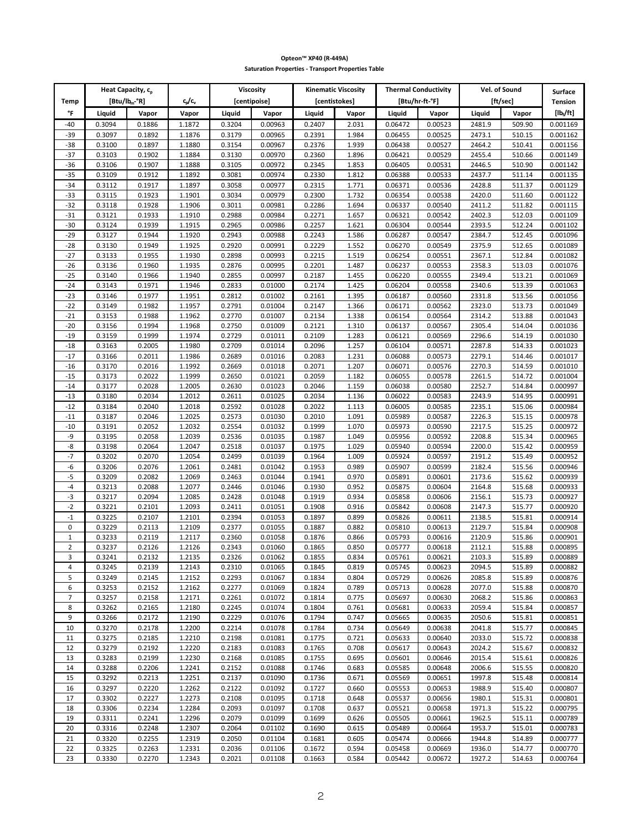|                     |                  | Heat Capacity, c <sub>p</sub> |                  |                  | Viscosity          |                  | <b>Kinematic Viscosity</b> |                    | <b>Thermal Conductivity</b> |                  | Vel. of Sound    | <b>Surface</b>       |
|---------------------|------------------|-------------------------------|------------------|------------------|--------------------|------------------|----------------------------|--------------------|-----------------------------|------------------|------------------|----------------------|
| <b>Temp</b>         |                  | $[ิ Btu/lbm-°R]$              | c,/c,            |                  | [centipoise]       |                  | [centistokes]              |                    | [Btu/hr-ft-°F]              |                  | [ft/sec]         | <b>Tension</b>       |
| °F                  | Liquid           | Vapor                         | Vapor            | Liquid           | Vapor              | Liquid           | Vapor                      | Liquid             | Vapor                       | Liquid           | Vapor            | $[1b_i/ft]$          |
| -40                 | 0.3094           | 0.1886                        | 1.1872           | 0.3204           | 0.00963            | 0.2407           | 2.031                      | 0.06472            | 0.00523                     | 2481.9           | 509.90           | 0.001169             |
| $-39$               | 0.3097           | 0.1892                        | 1.1876           | 0.3179           | 0.00965            | 0.2391           | 1.984                      | 0.06455            | 0.00525                     | 2473.1           | 510.15           | 0.001162             |
| $-38$               | 0.3100           | 0.1897                        | 1.1880           | 0.3154           | 0.00967            | 0.2376           | 1.939                      | 0.06438            | 0.00527                     | 2464.2           | 510.41           | 0.001156             |
| $-37$<br>-36        | 0.3103<br>0.3106 | 0.1902<br>0.1907              | 1.1884<br>1.1888 | 0.3130<br>0.3105 | 0.00970<br>0.00972 | 0.2360<br>0.2345 | 1.896<br>1.853             | 0.06421<br>0.06405 | 0.00529<br>0.00531          | 2455.4<br>2446.5 | 510.66<br>510.90 | 0.001149<br>0.001142 |
| $-35$               | 0.3109           | 0.1912                        | 1.1892           | 0.3081           | 0.00974            | 0.2330           | 1.812                      | 0.06388            | 0.00533                     | 2437.7           | 511.14           | 0.001135             |
| $-34$               | 0.3112           | 0.1917                        | 1.1897           | 0.3058           | 0.00977            | 0.2315           | 1.771                      | 0.06371            | 0.00536                     | 2428.8           | 511.37           | 0.001129             |
| $-33$               | 0.3115           | 0.1923                        | 1.1901           | 0.3034           | 0.00979            | 0.2300           | 1.732                      | 0.06354            | 0.00538                     | 2420.0           | 511.60           | 0.001122             |
| $-32$               | 0.3118           | 0.1928                        | 1.1906           | 0.3011           | 0.00981            | 0.2286           | 1.694                      | 0.06337            | 0.00540                     | 2411.2           | 511.82           | 0.001115             |
| $-31$               | 0.3121           | 0.1933                        | 1.1910           | 0.2988           | 0.00984            | 0.2271           | 1.657                      | 0.06321            | 0.00542                     | 2402.3           | 512.03           | 0.001109             |
| $-30$               | 0.3124           | 0.1939                        | 1.1915           | 0.2965           | 0.00986            | 0.2257           | 1.621                      | 0.06304            | 0.00544                     | 2393.5           | 512.24           | 0.001102             |
| $-29$               | 0.3127           | 0.1944                        | 1.1920           | 0.2943           | 0.00988            | 0.2243           | 1.586                      | 0.06287            | 0.00547                     | 2384.7           | 512.45           | 0.001096             |
| $-28$               | 0.3130           | 0.1949                        | 1.1925           | 0.2920           | 0.00991            | 0.2229           | 1.552                      | 0.06270            | 0.00549                     | 2375.9           | 512.65           | 0.001089             |
| $-27$               | 0.3133           | 0.1955                        | 1.1930           | 0.2898           | 0.00993            | 0.2215           | 1.519                      | 0.06254            | 0.00551                     | 2367.1           | 512.84           | 0.001082             |
| $-26$<br>$-25$      | 0.3136<br>0.3140 | 0.1960<br>0.1966              | 1.1935<br>1.1940 | 0.2876<br>0.2855 | 0.00995<br>0.00997 | 0.2201<br>0.2187 | 1.487<br>1.455             | 0.06237<br>0.06220 | 0.00553<br>0.00555          | 2358.3<br>2349.4 | 513.03<br>513.21 | 0.001076<br>0.001069 |
| $-24$               | 0.3143           | 0.1971                        | 1.1946           | 0.2833           | 0.01000            | 0.2174           | 1.425                      | 0.06204            | 0.00558                     | 2340.6           | 513.39           | 0.001063             |
| $-23$               | 0.3146           | 0.1977                        | 1.1951           | 0.2812           | 0.01002            | 0.2161           | 1.395                      | 0.06187            | 0.00560                     | 2331.8           | 513.56           | 0.001056             |
| $-22$               | 0.3149           | 0.1982                        | 1.1957           | 0.2791           | 0.01004            | 0.2147           | 1.366                      | 0.06171            | 0.00562                     | 2323.0           | 513.73           | 0.001049             |
| $-21$               | 0.3153           | 0.1988                        | 1.1962           | 0.2770           | 0.01007            | 0.2134           | 1.338                      | 0.06154            | 0.00564                     | 2314.2           | 513.88           | 0.001043             |
| $-20$               | 0.3156           | 0.1994                        | 1.1968           | 0.2750           | 0.01009            | 0.2121           | 1.310                      | 0.06137            | 0.00567                     | 2305.4           | 514.04           | 0.001036             |
| $-19$               | 0.3159           | 0.1999                        | 1.1974           | 0.2729           | 0.01011            | 0.2109           | 1.283                      | 0.06121            | 0.00569                     | 2296.6           | 514.19           | 0.001030             |
| $-18$               | 0.3163           | 0.2005                        | 1.1980           | 0.2709           | 0.01014            | 0.2096           | 1.257                      | 0.06104            | 0.00571                     | 2287.8           | 514.33           | 0.001023             |
| $-17$               | 0.3166           | 0.2011                        | 1.1986           | 0.2689           | 0.01016            | 0.2083           | 1.231                      | 0.06088            | 0.00573                     | 2279.1           | 514.46           | 0.001017             |
| $-16$               | 0.3170           | 0.2016                        | 1.1992           | 0.2669           | 0.01018            | 0.2071           | 1.207                      | 0.06071            | 0.00576                     | 2270.3           | 514.59           | 0.001010             |
| $-15$<br>$-14$      | 0.3173<br>0.3177 | 0.2022<br>0.2028              | 1.1999<br>1.2005 | 0.2650<br>0.2630 | 0.01021<br>0.01023 | 0.2059<br>0.2046 | 1.182<br>1.159             | 0.06055<br>0.06038 | 0.00578<br>0.00580          | 2261.5<br>2252.7 | 514.72<br>514.84 | 0.001004<br>0.000997 |
| $-13$               | 0.3180           | 0.2034                        | 1.2012           | 0.2611           | 0.01025            | 0.2034           | 1.136                      | 0.06022            | 0.00583                     | 2243.9           | 514.95           | 0.000991             |
| $-12$               | 0.3184           | 0.2040                        | 1.2018           | 0.2592           | 0.01028            | 0.2022           | 1.113                      | 0.06005            | 0.00585                     | 2235.1           | 515.06           | 0.000984             |
| $-11$               | 0.3187           | 0.2046                        | 1.2025           | 0.2573           | 0.01030            | 0.2010           | 1.091                      | 0.05989            | 0.00587                     | 2226.3           | 515.15           | 0.000978             |
| $-10$               | 0.3191           | 0.2052                        | 1.2032           | 0.2554           | 0.01032            | 0.1999           | 1.070                      | 0.05973            | 0.00590                     | 2217.5           | 515.25           | 0.000972             |
| -9                  | 0.3195           | 0.2058                        | 1.2039           | 0.2536           | 0.01035            | 0.1987           | 1.049                      | 0.05956            | 0.00592                     | 2208.8           | 515.34           | 0.000965             |
| -8                  | 0.3198           | 0.2064                        | 1.2047           | 0.2518           | 0.01037            | 0.1975           | 1.029                      | 0.05940            | 0.00594                     | 2200.0           | 515.42           | 0.000959             |
| $-7$                | 0.3202           | 0.2070                        | 1.2054           | 0.2499           | 0.01039            | 0.1964           | 1.009                      | 0.05924            | 0.00597                     | 2191.2           | 515.49           | 0.000952             |
| -6                  | 0.3206           | 0.2076                        | 1.2061           | 0.2481           | 0.01042            | 0.1953           | 0.989                      | 0.05907            | 0.00599                     | 2182.4           | 515.56           | 0.000946             |
| -5<br>$-4$          | 0.3209           | 0.2082                        | 1.2069           | 0.2463           | 0.01044            | 0.1941           | 0.970                      | 0.05891            | 0.00601                     | 2173.6           | 515.62           | 0.000939             |
| $-3$                | 0.3213<br>0.3217 | 0.2088<br>0.2094              | 1.2077<br>1.2085 | 0.2446<br>0.2428 | 0.01046<br>0.01048 | 0.1930<br>0.1919 | 0.952<br>0.934             | 0.05875<br>0.05858 | 0.00604<br>0.00606          | 2164.8<br>2156.1 | 515.68<br>515.73 | 0.000933<br>0.000927 |
| $-2$                | 0.3221           | 0.2101                        | 1.2093           | 0.2411           | 0.01051            | 0.1908           | 0.916                      | 0.05842            | 0.00608                     | 2147.3           | 515.77           | 0.000920             |
| $-1$                | 0.3225           | 0.2107                        | 1.2101           | 0.2394           | 0.01053            | 0.1897           | 0.899                      | 0.05826            | 0.00611                     | 2138.5           | 515.81           | 0.000914             |
| 0                   | 0.3229           | 0.2113                        | 1.2109           | 0.2377           | 0.01055            | 0.1887           | 0.882                      | 0.05810            | 0.00613                     | 2129.7           | 515.84           | 0.000908             |
| $\mathbf 1$         | 0.3233           | 0.2119                        | 1.2117           | 0.2360           | 0.01058            | 0.1876           | 0.866                      | 0.05793            | 0.00616                     | 2120.9           | 515.86           | 0.000901             |
| $\overline{2}$      | 0.3237           | 0.2126                        | 1.2126           | 0.2343           | 0.01060            | 0.1865           | 0.850                      | 0.05777            | 0.00618                     | 2112.1           | 515.88           | 0.000895             |
| 3                   | 0.3241           | 0.2132                        | 1.2135           | 0.2326           | 0.01062            | 0.1855           | 0.834                      | 0.05761            | 0.00621                     | 2103.3           | 515.89           | 0.000889             |
| 4                   | 0.3245           | 0.2139                        | 1.2143           | 0.2310           | 0.01065            | 0.1845           | 0.819                      | 0.05745            | 0.00623                     | 2094.5           | 515.89           | 0.000882             |
| 5                   | 0.3249           | 0.2145                        | 1.2152           | 0.2293           | 0.01067            | 0.1834           | 0.804                      | 0.05729            | 0.00626                     | 2085.8           | 515.89           | 0.000876             |
| 6<br>$\overline{7}$ | 0.3253<br>0.3257 | 0.2152<br>0.2158              | 1.2162<br>1.2171 | 0.2277<br>0.2261 | 0.01069<br>0.01072 | 0.1824<br>0.1814 | 0.789<br>0.775             | 0.05713<br>0.05697 | 0.00628<br>0.00630          | 2077.0<br>2068.2 | 515.88<br>515.86 | 0.000870<br>0.000863 |
| 8                   | 0.3262           | 0.2165                        | 1.2180           | 0.2245           | 0.01074            | 0.1804           | 0.761                      | 0.05681            | 0.00633                     | 2059.4           | 515.84           | 0.000857             |
| 9                   | 0.3266           | 0.2172                        | 1.2190           | 0.2229           | 0.01076            | 0.1794           | 0.747                      | 0.05665            | 0.00635                     | 2050.6           | 515.81           | 0.000851             |
| 10                  | 0.3270           | 0.2178                        | 1.2200           | 0.2214           | 0.01078            | 0.1784           | 0.734                      | 0.05649            | 0.00638                     | 2041.8           | 515.77           | 0.000845             |
| 11                  | 0.3275           | 0.2185                        | 1.2210           | 0.2198           | 0.01081            | 0.1775           | 0.721                      | 0.05633            | 0.00640                     | 2033.0           | 515.72           | 0.000838             |
| 12                  | 0.3279           | 0.2192                        | 1.2220           | 0.2183           | 0.01083            | 0.1765           | 0.708                      | 0.05617            | 0.00643                     | 2024.2           | 515.67           | 0.000832             |
| 13                  | 0.3283           | 0.2199                        | 1.2230           | 0.2168           | 0.01085            | 0.1755           | 0.695                      | 0.05601            | 0.00646                     | 2015.4           | 515.61           | 0.000826             |
| 14                  | 0.3288           | 0.2206                        | 1.2241           | 0.2152           | 0.01088            | 0.1746           | 0.683                      | 0.05585            | 0.00648                     | 2006.6           | 515.55           | 0.000820             |
| 15                  | 0.3292           | 0.2213                        | 1.2251           | 0.2137           | 0.01090            | 0.1736           | 0.671                      | 0.05569            | 0.00651                     | 1997.8           | 515.48           | 0.000814             |
| 16                  | 0.3297           | 0.2220                        | 1.2262           | 0.2122           | 0.01092            | 0.1727           | 0.660                      | 0.05553            | 0.00653                     | 1988.9           | 515.40           | 0.000807             |
| 17<br>18            | 0.3302<br>0.3306 | 0.2227<br>0.2234              | 1.2273<br>1.2284 | 0.2108<br>0.2093 | 0.01095<br>0.01097 | 0.1718<br>0.1708 | 0.648<br>0.637             | 0.05537<br>0.05521 | 0.00656<br>0.00658          | 1980.1<br>1971.3 | 515.31<br>515.22 | 0.000801<br>0.000795 |
| 19                  | 0.3311           | 0.2241                        | 1.2296           | 0.2079           | 0.01099            | 0.1699           | 0.626                      | 0.05505            | 0.00661                     | 1962.5           | 515.11           | 0.000789             |
| 20                  | 0.3316           | 0.2248                        | 1.2307           | 0.2064           | 0.01102            | 0.1690           | 0.615                      | 0.05489            | 0.00664                     | 1953.7           | 515.01           | 0.000783             |
| 21                  | 0.3320           | 0.2255                        | 1.2319           | 0.2050           | 0.01104            | 0.1681           | 0.605                      | 0.05474            | 0.00666                     | 1944.8           | 514.89           | 0.000777             |
| 22                  | 0.3325           | 0.2263                        | 1.2331           | 0.2036           | 0.01106            | 0.1672           | 0.594                      | 0.05458            | 0.00669                     | 1936.0           | 514.77           | 0.000770             |
| 23                  | 0.3330           | 0.2270                        | 1.2343           | 0.2021           | 0.01108            | 0.1663           | 0.584                      | 0.05442            | 0.00672                     | 1927.2           | 514.63           | 0.000764             |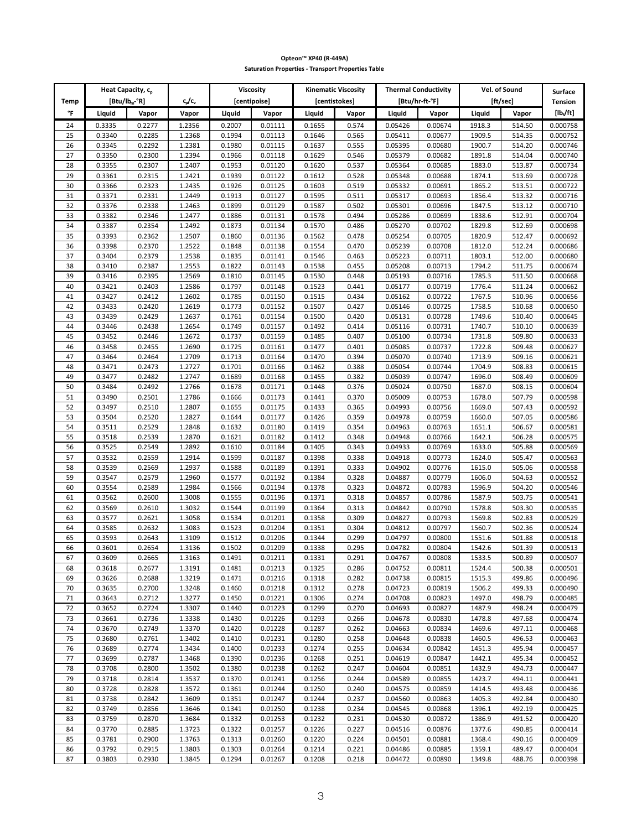|          | Heat Capacity, c <sub>p</sub> |                  |                  |                  | Viscosity          |                  | <b>Kinematic Viscosity</b> | <b>Thermal Conductivity</b> |                    |                  | Vel. of Sound    | <b>Surface</b>       |
|----------|-------------------------------|------------------|------------------|------------------|--------------------|------------------|----------------------------|-----------------------------|--------------------|------------------|------------------|----------------------|
| Temp     | [Btu/lb <sub>m</sub> -°R]     |                  | c,/c,            |                  | [centipoise]       | [centistokes]    |                            |                             | [Btu/hr-ft-°F]     |                  | [ft/sec]         | <b>Tension</b>       |
| °F       | Liquid                        | Vapor            | Vapor            | Liquid           | Vapor              | Liquid           | Vapor                      | Liquid                      | Vapor              | Liquid           | Vapor            | $[ b_i/t]$           |
| 24       | 0.3335                        | 0.2277           | 1.2356           | 0.2007           | 0.01111            | 0.1655           | 0.574                      | 0.05426                     | 0.00674            | 1918.3           | 514.50           | 0.000758             |
| 25<br>26 | 0.3340<br>0.3345              | 0.2285<br>0.2292 | 1.2368<br>1.2381 | 0.1994<br>0.1980 | 0.01113<br>0.01115 | 0.1646<br>0.1637 | 0.565<br>0.555             | 0.05411<br>0.05395          | 0.00677<br>0.00680 | 1909.5<br>1900.7 | 514.35<br>514.20 | 0.000752<br>0.000746 |
| 27       | 0.3350                        | 0.2300           | 1.2394           | 0.1966           | 0.01118            | 0.1629           | 0.546                      | 0.05379                     | 0.00682            | 1891.8           | 514.04           | 0.000740             |
| 28       | 0.3355                        | 0.2307           | 1.2407           | 0.1953           | 0.01120            | 0.1620           | 0.537                      | 0.05364                     | 0.00685            | 1883.0           | 513.87           | 0.000734             |
| 29       | 0.3361                        | 0.2315           | 1.2421           | 0.1939           | 0.01122            | 0.1612           | 0.528                      | 0.05348                     | 0.00688            | 1874.1           | 513.69           | 0.000728             |
| 30       | 0.3366                        | 0.2323           | 1.2435           | 0.1926           | 0.01125            | 0.1603           | 0.519                      | 0.05332                     | 0.00691            | 1865.2           | 513.51           | 0.000722             |
| 31       | 0.3371                        | 0.2331           | 1.2449           | 0.1913           | 0.01127            | 0.1595           | 0.511                      | 0.05317                     | 0.00693            | 1856.4           | 513.32<br>513.12 | 0.000716             |
| 32<br>33 | 0.3376<br>0.3382              | 0.2338<br>0.2346 | 1.2463<br>1.2477 | 0.1899<br>0.1886 | 0.01129<br>0.01131 | 0.1587<br>0.1578 | 0.502<br>0.494             | 0.05301<br>0.05286          | 0.00696<br>0.00699 | 1847.5<br>1838.6 | 512.91           | 0.000710<br>0.000704 |
| 34       | 0.3387                        | 0.2354           | 1.2492           | 0.1873           | 0.01134            | 0.1570           | 0.486                      | 0.05270                     | 0.00702            | 1829.8           | 512.69           | 0.000698             |
| 35       | 0.3393                        | 0.2362           | 1.2507           | 0.1860           | 0.01136            | 0.1562           | 0.478                      | 0.05254                     | 0.00705            | 1820.9           | 512.47           | 0.000692             |
| 36       | 0.3398                        | 0.2370           | 1.2522           | 0.1848           | 0.01138            | 0.1554           | 0.470                      | 0.05239                     | 0.00708            | 1812.0           | 512.24           | 0.000686             |
| 37       | 0.3404                        | 0.2379           | 1.2538           | 0.1835           | 0.01141            | 0.1546           | 0.463                      | 0.05223                     | 0.00711            | 1803.1           | 512.00           | 0.000680             |
| 38       | 0.3410                        | 0.2387           | 1.2553           | 0.1822           | 0.01143            | 0.1538           | 0.455                      | 0.05208                     | 0.00713            | 1794.2           | 511.75           | 0.000674             |
| 39<br>40 | 0.3416<br>0.3421              | 0.2395<br>0.2403 | 1.2569<br>1.2586 | 0.1810<br>0.1797 | 0.01145<br>0.01148 | 0.1530<br>0.1523 | 0.448<br>0.441             | 0.05193<br>0.05177          | 0.00716<br>0.00719 | 1785.3<br>1776.4 | 511.50<br>511.24 | 0.000668<br>0.000662 |
| 41       | 0.3427                        | 0.2412           | 1.2602           | 0.1785           | 0.01150            | 0.1515           | 0.434                      | 0.05162                     | 0.00722            | 1767.5           | 510.96           | 0.000656             |
| 42       | 0.3433                        | 0.2420           | 1.2619           | 0.1773           | 0.01152            | 0.1507           | 0.427                      | 0.05146                     | 0.00725            | 1758.5           | 510.68           | 0.000650             |
| 43       | 0.3439                        | 0.2429           | 1.2637           | 0.1761           | 0.01154            | 0.1500           | 0.420                      | 0.05131                     | 0.00728            | 1749.6           | 510.40           | 0.000645             |
| 44       | 0.3446                        | 0.2438           | 1.2654           | 0.1749           | 0.01157            | 0.1492           | 0.414                      | 0.05116                     | 0.00731            | 1740.7           | 510.10           | 0.000639             |
| 45       | 0.3452                        | 0.2446           | 1.2672           | 0.1737           | 0.01159            | 0.1485           | 0.407                      | 0.05100                     | 0.00734            | 1731.8           | 509.80           | 0.000633             |
| 46<br>47 | 0.3458<br>0.3464              | 0.2455<br>0.2464 | 1.2690<br>1.2709 | 0.1725<br>0.1713 | 0.01161<br>0.01164 | 0.1477<br>0.1470 | 0.401<br>0.394             | 0.05085<br>0.05070          | 0.00737<br>0.00740 | 1722.8<br>1713.9 | 509.48<br>509.16 | 0.000627<br>0.000621 |
| 48       | 0.3471                        | 0.2473           | 1.2727           | 0.1701           | 0.01166            | 0.1462           | 0.388                      | 0.05054                     | 0.00744            | 1704.9           | 508.83           | 0.000615             |
| 49       | 0.3477                        | 0.2482           | 1.2747           | 0.1689           | 0.01168            | 0.1455           | 0.382                      | 0.05039                     | 0.00747            | 1696.0           | 508.49           | 0.000609             |
| 50       | 0.3484                        | 0.2492           | 1.2766           | 0.1678           | 0.01171            | 0.1448           | 0.376                      | 0.05024                     | 0.00750            | 1687.0           | 508.15           | 0.000604             |
| 51       | 0.3490                        | 0.2501           | 1.2786           | 0.1666           | 0.01173            | 0.1441           | 0.370                      | 0.05009                     | 0.00753            | 1678.0           | 507.79           | 0.000598             |
| 52       | 0.3497                        | 0.2510           | 1.2807           | 0.1655           | 0.01175            | 0.1433           | 0.365                      | 0.04993                     | 0.00756            | 1669.0           | 507.43           | 0.000592             |
| 53       | 0.3504                        | 0.2520           | 1.2827           | 0.1644           | 0.01177            | 0.1426           | 0.359                      | 0.04978                     | 0.00759            | 1660.0           | 507.05           | 0.000586             |
| 54<br>55 | 0.3511<br>0.3518              | 0.2529<br>0.2539 | 1.2848<br>1.2870 | 0.1632<br>0.1621 | 0.01180<br>0.01182 | 0.1419<br>0.1412 | 0.354<br>0.348             | 0.04963<br>0.04948          | 0.00763<br>0.00766 | 1651.1<br>1642.1 | 506.67<br>506.28 | 0.000581<br>0.000575 |
| 56       | 0.3525                        | 0.2549           | 1.2892           | 0.1610           | 0.01184            | 0.1405           | 0.343                      | 0.04933                     | 0.00769            | 1633.0           | 505.88           | 0.000569             |
| 57       | 0.3532                        | 0.2559           | 1.2914           | 0.1599           | 0.01187            | 0.1398           | 0.338                      | 0.04918                     | 0.00773            | 1624.0           | 505.47           | 0.000563             |
| 58       | 0.3539                        | 0.2569           | 1.2937           | 0.1588           | 0.01189            | 0.1391           | 0.333                      | 0.04902                     | 0.00776            | 1615.0           | 505.06           | 0.000558             |
| 59       | 0.3547                        | 0.2579           | 1.2960           | 0.1577           | 0.01192            | 0.1384           | 0.328                      | 0.04887                     | 0.00779            | 1606.0           | 504.63           | 0.000552             |
| 60       | 0.3554                        | 0.2589           | 1.2984           | 0.1566           | 0.01194            | 0.1378           | 0.323                      | 0.04872                     | 0.00783            | 1596.9           | 504.20           | 0.000546             |
| 61<br>62 | 0.3562<br>0.3569              | 0.2600<br>0.2610 | 1.3008<br>1.3032 | 0.1555<br>0.1544 | 0.01196<br>0.01199 | 0.1371<br>0.1364 | 0.318<br>0.313             | 0.04857<br>0.04842          | 0.00786<br>0.00790 | 1587.9<br>1578.8 | 503.75<br>503.30 | 0.000541<br>0.000535 |
| 63       | 0.3577                        | 0.2621           | 1.3058           | 0.1534           | 0.01201            | 0.1358           | 0.309                      | 0.04827                     | 0.00793            | 1569.8           | 502.83           | 0.000529             |
| 64       | 0.3585                        | 0.2632           | 1.3083           | 0.1523           | 0.01204            | 0.1351           | 0.304                      | 0.04812                     | 0.00797            | 1560.7           | 502.36           | 0.000524             |
| 65       | 0.3593                        | 0.2643           | 1.3109           | 0.1512           | 0.01206            | 0.1344           | 0.299                      | 0.04797                     | 0.00800            | 1551.6           | 501.88           | 0.000518             |
| 66       | 0.3601                        | 0.2654           | 1.3136           | 0.1502           | 0.01209            | 0.1338           | 0.295                      | 0.04782                     | 0.00804            | 1542.6           | 501.39           | 0.000513             |
| 67       | 0.3609                        | 0.2665           | 1.3163           | 0.1491           | 0.01211            | 0.1331           | 0.291                      | 0.04767                     | 0.00808            | 1533.5           | 500.89           | 0.000507             |
| 68<br>69 | 0.3618<br>0.3626              | 0.2677<br>0.2688 | 1.3191<br>1.3219 | 0.1481<br>0.1471 | 0.01213<br>0.01216 | 0.1325<br>0.1318 | 0.286<br>0.282             | 0.04752<br>0.04738          | 0.00811<br>0.00815 | 1524.4<br>1515.3 | 500.38<br>499.86 | 0.000501<br>0.000496 |
| 70       | 0.3635                        | 0.2700           | 1.3248           | 0.1460           | 0.01218            | 0.1312           | 0.278                      | 0.04723                     | 0.00819            | 1506.2           | 499.33           | 0.000490             |
| 71       | 0.3643                        | 0.2712           | 1.3277           | 0.1450           | 0.01221            | 0.1306           | 0.274                      | 0.04708                     | 0.00823            | 1497.0           | 498.79           | 0.000485             |
| 72       | 0.3652                        | 0.2724           | 1.3307           | 0.1440           | 0.01223            | 0.1299           | 0.270                      | 0.04693                     | 0.00827            | 1487.9           | 498.24           | 0.000479             |
| 73       | 0.3661                        | 0.2736           | 1.3338           | 0.1430           | 0.01226            | 0.1293           | 0.266                      | 0.04678                     | 0.00830            | 1478.8           | 497.68           | 0.000474             |
| 74       | 0.3670                        | 0.2749           | 1.3370           | 0.1420           | 0.01228            | 0.1287           | 0.262                      | 0.04663                     | 0.00834            | 1469.6           | 497.11           | 0.000468             |
| 75<br>76 | 0.3680<br>0.3689              | 0.2761<br>0.2774 | 1.3402<br>1.3434 | 0.1410<br>0.1400 | 0.01231<br>0.01233 | 0.1280<br>0.1274 | 0.258<br>0.255             | 0.04648<br>0.04634          | 0.00838<br>0.00842 | 1460.5<br>1451.3 | 496.53<br>495.94 | 0.000463<br>0.000457 |
| 77       | 0.3699                        | 0.2787           | 1.3468           | 0.1390           | 0.01236            | 0.1268           | 0.251                      | 0.04619                     | 0.00847            | 1442.1           | 495.34           | 0.000452             |
| 78       | 0.3708                        | 0.2800           | 1.3502           | 0.1380           | 0.01238            | 0.1262           | 0.247                      | 0.04604                     | 0.00851            | 1432.9           | 494.73           | 0.000447             |
| 79       | 0.3718                        | 0.2814           | 1.3537           | 0.1370           | 0.01241            | 0.1256           | 0.244                      | 0.04589                     | 0.00855            | 1423.7           | 494.11           | 0.000441             |
| 80       | 0.3728                        | 0.2828           | 1.3572           | 0.1361           | 0.01244            | 0.1250           | 0.240                      | 0.04575                     | 0.00859            | 1414.5           | 493.48           | 0.000436             |
| 81       | 0.3738                        | 0.2842           | 1.3609           | 0.1351           | 0.01247            | 0.1244           | 0.237                      | 0.04560                     | 0.00863            | 1405.3           | 492.84           | 0.000430             |
| 82<br>83 | 0.3749<br>0.3759              | 0.2856<br>0.2870 | 1.3646           | 0.1341<br>0.1332 | 0.01250<br>0.01253 | 0.1238<br>0.1232 | 0.234<br>0.231             | 0.04545<br>0.04530          | 0.00868            | 1396.1<br>1386.9 | 492.19<br>491.52 | 0.000425<br>0.000420 |
| 84       | 0.3770                        | 0.2885           | 1.3684<br>1.3723 | 0.1322           | 0.01257            | 0.1226           | 0.227                      | 0.04516                     | 0.00872<br>0.00876 | 1377.6           | 490.85           | 0.000414             |
| 85       | 0.3781                        | 0.2900           | 1.3763           | 0.1313           | 0.01260            | 0.1220           | 0.224                      | 0.04501                     | 0.00881            | 1368.4           | 490.16           | 0.000409             |
| 86       | 0.3792                        | 0.2915           | 1.3803           | 0.1303           | 0.01264            | 0.1214           | 0.221                      | 0.04486                     | 0.00885            | 1359.1           | 489.47           | 0.000404             |
| 87       | 0.3803                        | 0.2930           | 1.3845           | 0.1294           | 0.01267            | 0.1208           | 0.218                      | 0.04472                     | 0.00890            | 1349.8           | 488.76           | 0.000398             |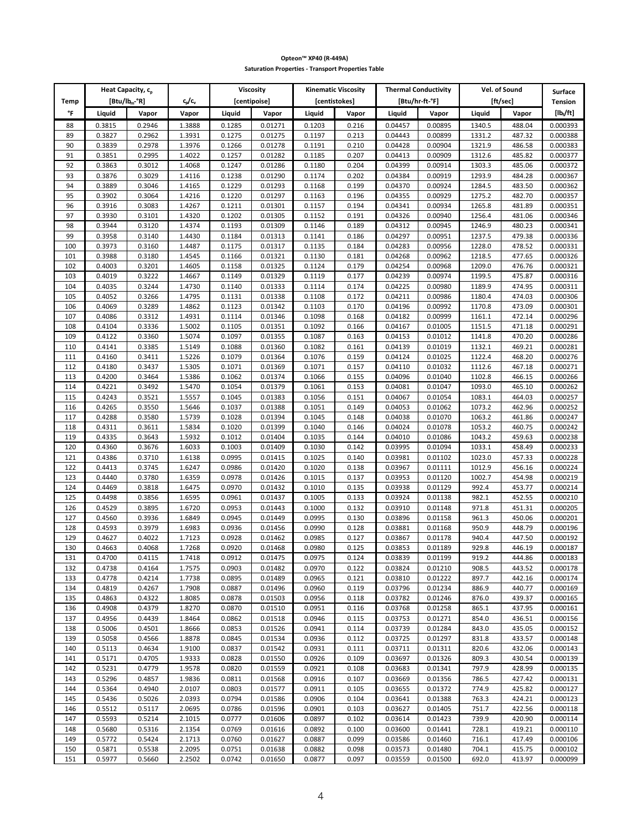|            | Heat Capacity, c <sub>p</sub> |                  |                  |                  | Viscosity          |                  | <b>Kinematic Viscosity</b> | <b>Thermal Conductivity</b> |                    |                  | Vel. of Sound    | <b>Surface</b>       |
|------------|-------------------------------|------------------|------------------|------------------|--------------------|------------------|----------------------------|-----------------------------|--------------------|------------------|------------------|----------------------|
| Temp       | [Btu/lb <sub>m</sub> -°R]     |                  | c,/c,            |                  | [centipoise]       |                  | <b>Icentistokes1</b>       |                             | [Btu/hr-ft-°F]     |                  | [ft/sec]         | <b>Tension</b>       |
| °F         | Liquid                        | Vapor            | Vapor            | Liquid           | Vapor              | Liquid           | Vapor                      | Liquid                      | Vapor              | Liquid           | Vapor            | $[1b_{t}/ft]$        |
| 88<br>89   | 0.3815<br>0.3827              | 0.2946<br>0.2962 | 1.3888<br>1.3931 | 0.1285<br>0.1275 | 0.01271<br>0.01275 | 0.1203<br>0.1197 | 0.216<br>0.213             | 0.04457<br>0.04443          | 0.00895<br>0.00899 | 1340.5<br>1331.2 | 488.04<br>487.32 | 0.000393<br>0.000388 |
| 90         | 0.3839                        | 0.2978           | 1.3976           | 0.1266           | 0.01278            | 0.1191           | 0.210                      | 0.04428                     | 0.00904            | 1321.9           | 486.58           | 0.000383             |
| 91         | 0.3851                        | 0.2995           | 1.4022           | 0.1257           | 0.01282            | 0.1185           | 0.207                      | 0.04413                     | 0.00909            | 1312.6           | 485.82           | 0.000377             |
| 92         | 0.3863                        | 0.3012           | 1.4068           | 0.1247           | 0.01286            | 0.1180           | 0.204                      | 0.04399                     | 0.00914            | 1303.3           | 485.06           | 0.000372             |
| 93         | 0.3876                        | 0.3029           | 1.4116           | 0.1238           | 0.01290            | 0.1174           | 0.202                      | 0.04384                     | 0.00919            | 1293.9           | 484.28           | 0.000367             |
| 94         | 0.3889                        | 0.3046           | 1.4165           | 0.1229           | 0.01293            | 0.1168           | 0.199                      | 0.04370                     | 0.00924            | 1284.5           | 483.50           | 0.000362             |
| 95<br>96   | 0.3902<br>0.3916              | 0.3064<br>0.3083 | 1.4216<br>1.4267 | 0.1220<br>0.1211 | 0.01297<br>0.01301 | 0.1163<br>0.1157 | 0.196<br>0.194             | 0.04355<br>0.04341          | 0.00929<br>0.00934 | 1275.2<br>1265.8 | 482.70<br>481.89 | 0.000357<br>0.000351 |
| 97         | 0.3930                        | 0.3101           | 1.4320           | 0.1202           | 0.01305            | 0.1152           | 0.191                      | 0.04326                     | 0.00940            | 1256.4           | 481.06           | 0.000346             |
| 98         | 0.3944                        | 0.3120           | 1.4374           | 0.1193           | 0.01309            | 0.1146           | 0.189                      | 0.04312                     | 0.00945            | 1246.9           | 480.23           | 0.000341             |
| 99         | 0.3958                        | 0.3140           | 1.4430           | 0.1184           | 0.01313            | 0.1141           | 0.186                      | 0.04297                     | 0.00951            | 1237.5           | 479.38           | 0.000336             |
| 100        | 0.3973                        | 0.3160           | 1.4487           | 0.1175           | 0.01317            | 0.1135           | 0.184                      | 0.04283                     | 0.00956            | 1228.0           | 478.52           | 0.000331             |
| 101<br>102 | 0.3988<br>0.4003              | 0.3180<br>0.3201 | 1.4545<br>1.4605 | 0.1166<br>0.1158 | 0.01321<br>0.01325 | 0.1130<br>0.1124 | 0.181<br>0.179             | 0.04268<br>0.04254          | 0.00962<br>0.00968 | 1218.5<br>1209.0 | 477.65<br>476.76 | 0.000326<br>0.000321 |
| 103        | 0.4019                        | 0.3222           | 1.4667           | 0.1149           | 0.01329            | 0.1119           | 0.177                      | 0.04239                     | 0.00974            | 1199.5           | 475.87           | 0.000316             |
| 104        | 0.4035                        | 0.3244           | 1.4730           | 0.1140           | 0.01333            | 0.1114           | 0.174                      | 0.04225                     | 0.00980            | 1189.9           | 474.95           | 0.000311             |
| 105        | 0.4052                        | 0.3266           | 1.4795           | 0.1131           | 0.01338            | 0.1108           | 0.172                      | 0.04211                     | 0.00986            | 1180.4           | 474.03           | 0.000306             |
| 106        | 0.4069                        | 0.3289           | 1.4862           | 0.1123           | 0.01342            | 0.1103           | 0.170                      | 0.04196                     | 0.00992            | 1170.8           | 473.09           | 0.000301             |
| 107        | 0.4086                        | 0.3312           | 1.4931           | 0.1114           | 0.01346            | 0.1098           | 0.168                      | 0.04182                     | 0.00999            | 1161.1           | 472.14           | 0.000296             |
| 108        | 0.4104<br>0.4122              | 0.3336<br>0.3360 | 1.5002<br>1.5074 | 0.1105           | 0.01351            | 0.1092           | 0.166                      | 0.04167                     | 0.01005            | 1151.5<br>1141.8 | 471.18           | 0.000291             |
| 109<br>110 | 0.4141                        | 0.3385           | 1.5149           | 0.1097<br>0.1088 | 0.01355<br>0.01360 | 0.1087<br>0.1082 | 0.163<br>0.161             | 0.04153<br>0.04139          | 0.01012<br>0.01019 | 1132.1           | 470.20<br>469.21 | 0.000286<br>0.000281 |
| 111        | 0.4160                        | 0.3411           | 1.5226           | 0.1079           | 0.01364            | 0.1076           | 0.159                      | 0.04124                     | 0.01025            | 1122.4           | 468.20           | 0.000276             |
| 112        | 0.4180                        | 0.3437           | 1.5305           | 0.1071           | 0.01369            | 0.1071           | 0.157                      | 0.04110                     | 0.01032            | 1112.6           | 467.18           | 0.000271             |
| 113        | 0.4200                        | 0.3464           | 1.5386           | 0.1062           | 0.01374            | 0.1066           | 0.155                      | 0.04096                     | 0.01040            | 1102.8           | 466.15           | 0.000266             |
| 114        | 0.4221                        | 0.3492           | 1.5470           | 0.1054           | 0.01379            | 0.1061           | 0.153                      | 0.04081                     | 0.01047            | 1093.0           | 465.10           | 0.000262             |
| 115<br>116 | 0.4243<br>0.4265              | 0.3521<br>0.3550 | 1.5557<br>1.5646 | 0.1045<br>0.1037 | 0.01383<br>0.01388 | 0.1056<br>0.1051 | 0.151<br>0.149             | 0.04067<br>0.04053          | 0.01054<br>0.01062 | 1083.1<br>1073.2 | 464.03<br>462.96 | 0.000257<br>0.000252 |
| 117        | 0.4288                        | 0.3580           | 1.5739           | 0.1028           | 0.01394            | 0.1045           | 0.148                      | 0.04038                     | 0.01070            | 1063.2           | 461.86           | 0.000247             |
| 118        | 0.4311                        | 0.3611           | 1.5834           | 0.1020           | 0.01399            | 0.1040           | 0.146                      | 0.04024                     | 0.01078            | 1053.2           | 460.75           | 0.000242             |
| 119        | 0.4335                        | 0.3643           | 1.5932           | 0.1012           | 0.01404            | 0.1035           | 0.144                      | 0.04010                     | 0.01086            | 1043.2           | 459.63           | 0.000238             |
| 120        | 0.4360                        | 0.3676           | 1.6033           | 0.1003           | 0.01409            | 0.1030           | 0.142                      | 0.03995                     | 0.01094            | 1033.1           | 458.49           | 0.000233             |
| 121        | 0.4386                        | 0.3710           | 1.6138           | 0.0995           | 0.01415            | 0.1025           | 0.140                      | 0.03981                     | 0.01102            | 1023.0           | 457.33           | 0.000228             |
| 122<br>123 | 0.4413<br>0.4440              | 0.3745<br>0.3780 | 1.6247<br>1.6359 | 0.0986<br>0.0978 | 0.01420<br>0.01426 | 0.1020<br>0.1015 | 0.138<br>0.137             | 0.03967<br>0.03953          | 0.01111<br>0.01120 | 1012.9<br>1002.7 | 456.16<br>454.98 | 0.000224<br>0.000219 |
| 124        | 0.4469                        | 0.3818           | 1.6475           | 0.0970           | 0.01432            | 0.1010           | 0.135                      | 0.03938                     | 0.01129            | 992.4            | 453.77           | 0.000214             |
| 125        | 0.4498                        | 0.3856           | 1.6595           | 0.0961           | 0.01437            | 0.1005           | 0.133                      | 0.03924                     | 0.01138            | 982.1            | 452.55           | 0.000210             |
| 126        | 0.4529                        | 0.3895           | 1.6720           | 0.0953           | 0.01443            | 0.1000           | 0.132                      | 0.03910                     | 0.01148            | 971.8            | 451.31           | 0.000205             |
| 127        | 0.4560                        | 0.3936           | 1.6849           | 0.0945           | 0.01449            | 0.0995           | 0.130                      | 0.03896                     | 0.01158            | 961.3            | 450.06           | 0.000201             |
| 128<br>129 | 0.4593<br>0.4627              | 0.3979<br>0.4022 | 1.6983           | 0.0936<br>0.0928 | 0.01456            | 0.0990<br>0.0985 | 0.128                      | 0.03881                     | 0.01168            | 950.9<br>940.4   | 448.79<br>447.50 | 0.000196             |
| 130        | 0.4663                        | 0.4068           | 1.7123<br>1.7268 | 0.0920           | 0.01462<br>0.01468 | 0.0980           | 0.127<br>0.125             | 0.03867<br>0.03853          | 0.01178<br>0.01189 | 929.8            | 446.19           | 0.000192<br>0.000187 |
| 131        | 0.4700                        | 0.4115           | 1.7418           | 0.0912           | 0.01475            | 0.0975           | 0.124                      | 0.03839                     | 0.01199            | 919.2            | 444.86           | 0.000183             |
| 132        | 0.4738                        | 0.4164           | 1.7575           | 0.0903           | 0.01482            | 0.0970           | 0.122                      | 0.03824                     | 0.01210            | 908.5            | 443.52           | 0.000178             |
| 133        | 0.4778                        | 0.4214           | 1.7738           | 0.0895           | 0.01489            | 0.0965           | 0.121                      | 0.03810                     | 0.01222            | 897.7            | 442.16           | 0.000174             |
| 134        | 0.4819                        | 0.4267           | 1.7908           | 0.0887           | 0.01496            | 0.0960           | 0.119                      | 0.03796                     | 0.01234            | 886.9            | 440.77           | 0.000169             |
| 135<br>136 | 0.4863<br>0.4908              | 0.4322<br>0.4379 | 1.8085<br>1.8270 | 0.0878<br>0.0870 | 0.01503<br>0.01510 | 0.0956<br>0.0951 | 0.118<br>0.116             | 0.03782<br>0.03768          | 0.01246<br>0.01258 | 876.0<br>865.1   | 439.37<br>437.95 | 0.000165<br>0.000161 |
| 137        | 0.4956                        | 0.4439           | 1.8464           | 0.0862           | 0.01518            | 0.0946           | 0.115                      | 0.03753                     | 0.01271            | 854.0            | 436.51           | 0.000156             |
| 138        | 0.5006                        | 0.4501           | 1.8666           | 0.0853           | 0.01526            | 0.0941           | 0.114                      | 0.03739                     | 0.01284            | 843.0            | 435.05           | 0.000152             |
| 139        | 0.5058                        | 0.4566           | 1.8878           | 0.0845           | 0.01534            | 0.0936           | 0.112                      | 0.03725                     | 0.01297            | 831.8            | 433.57           | 0.000148             |
| 140        | 0.5113                        | 0.4634           | 1.9100           | 0.0837           | 0.01542            | 0.0931           | 0.111                      | 0.03711                     | 0.01311            | 820.6            | 432.06           | 0.000143             |
| 141        | 0.5171                        | 0.4705           | 1.9333           | 0.0828           | 0.01550            | 0.0926           | 0.109                      | 0.03697                     | 0.01326            | 809.3            | 430.54           | 0.000139<br>0.000135 |
| 142<br>143 | 0.5231<br>0.5296              | 0.4779<br>0.4857 | 1.9578<br>1.9836 | 0.0820<br>0.0811 | 0.01559<br>0.01568 | 0.0921<br>0.0916 | 0.108<br>0.107             | 0.03683<br>0.03669          | 0.01341<br>0.01356 | 797.9<br>786.5   | 428.99<br>427.42 | 0.000131             |
| 144        | 0.5364                        | 0.4940           | 2.0107           | 0.0803           | 0.01577            | 0.0911           | 0.105                      | 0.03655                     | 0.01372            | 774.9            | 425.82           | 0.000127             |
| 145        | 0.5436                        | 0.5026           | 2.0393           | 0.0794           | 0.01586            | 0.0906           | 0.104                      | 0.03641                     | 0.01388            | 763.3            | 424.21           | 0.000123             |
| 146        | 0.5512                        | 0.5117           | 2.0695           | 0.0786           | 0.01596            | 0.0901           | 0.103                      | 0.03627                     | 0.01405            | 751.7            | 422.56           | 0.000118             |
| 147        | 0.5593                        | 0.5214           | 2.1015           | 0.0777           | 0.01606            | 0.0897           | 0.102                      | 0.03614                     | 0.01423            | 739.9            | 420.90           | 0.000114             |
| 148<br>149 | 0.5680<br>0.5772              | 0.5316<br>0.5424 | 2.1354<br>2.1713 | 0.0769<br>0.0760 | 0.01616<br>0.01627 | 0.0892<br>0.0887 | 0.100<br>0.099             | 0.03600<br>0.03586          | 0.01441<br>0.01460 | 728.1<br>716.1   | 419.21<br>417.49 | 0.000110<br>0.000106 |
| 150        | 0.5871                        | 0.5538           | 2.2095           | 0.0751           | 0.01638            | 0.0882           | 0.098                      | 0.03573                     | 0.01480            | 704.1            | 415.75           | 0.000102             |
| 151        | 0.5977                        | 0.5660           | 2.2502           | 0.0742           | 0.01650            | 0.0877           | 0.097                      | 0.03559                     | 0.01500            | 692.0            | 413.97           | 0.000099             |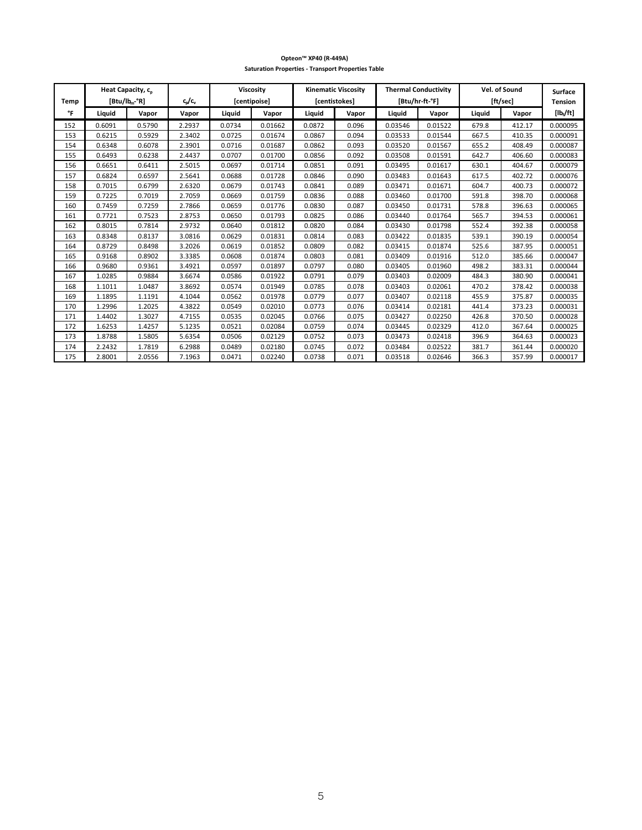| Temp | Heat Capacity, c <sub>p</sub><br>$[But/lb_m°R]$ |        | c,/c,  |        | <b>Viscosity</b><br>[centipoise] | [centistokes] | <b>Kinematic Viscositv</b> |         | <b>Thermal Conductivity</b><br>[Btu/hr-ft-°F] |        | Vel. of Sound<br>[ft/sec] | <b>Surface</b><br><b>Tension</b> |
|------|-------------------------------------------------|--------|--------|--------|----------------------------------|---------------|----------------------------|---------|-----------------------------------------------|--------|---------------------------|----------------------------------|
| °F   | Liquid                                          | Vapor  | Vapor  | Liquid | Vapor                            | Liquid        | Vapor                      | Liquid  | Vapor                                         | Liquid | Vapor                     | $[1b_{t}/ft]$                    |
| 152  | 0.6091                                          | 0.5790 | 2.2937 | 0.0734 | 0.01662                          | 0.0872        | 0.096                      | 0.03546 | 0.01522                                       | 679.8  | 412.17                    | 0.000095                         |
| 153  | 0.6215                                          | 0.5929 | 2.3402 | 0.0725 | 0.01674                          | 0.0867        | 0.094                      | 0.03533 | 0.01544                                       | 667.5  | 410.35                    | 0.000091                         |
| 154  | 0.6348                                          | 0.6078 | 2.3901 | 0.0716 | 0.01687                          | 0.0862        | 0.093                      | 0.03520 | 0.01567                                       | 655.2  | 408.49                    | 0.000087                         |
| 155  | 0.6493                                          | 0.6238 | 2.4437 | 0.0707 | 0.01700                          | 0.0856        | 0.092                      | 0.03508 | 0.01591                                       | 642.7  | 406.60                    | 0.000083                         |
| 156  | 0.6651                                          | 0.6411 | 2.5015 | 0.0697 | 0.01714                          | 0.0851        | 0.091                      | 0.03495 | 0.01617                                       | 630.1  | 404.67                    | 0.000079                         |
| 157  | 0.6824                                          | 0.6597 | 2.5641 | 0.0688 | 0.01728                          | 0.0846        | 0.090                      | 0.03483 | 0.01643                                       | 617.5  | 402.72                    | 0.000076                         |
| 158  | 0.7015                                          | 0.6799 | 2.6320 | 0.0679 | 0.01743                          | 0.0841        | 0.089                      | 0.03471 | 0.01671                                       | 604.7  | 400.73                    | 0.000072                         |
| 159  | 0.7225                                          | 0.7019 | 2.7059 | 0.0669 | 0.01759                          | 0.0836        | 0.088                      | 0.03460 | 0.01700                                       | 591.8  | 398.70                    | 0.000068                         |
| 160  | 0.7459                                          | 0.7259 | 2.7866 | 0.0659 | 0.01776                          | 0.0830        | 0.087                      | 0.03450 | 0.01731                                       | 578.8  | 396.63                    | 0.000065                         |
| 161  | 0.7721                                          | 0.7523 | 2.8753 | 0.0650 | 0.01793                          | 0.0825        | 0.086                      | 0.03440 | 0.01764                                       | 565.7  | 394.53                    | 0.000061                         |
| 162  | 0.8015                                          | 0.7814 | 2.9732 | 0.0640 | 0.01812                          | 0.0820        | 0.084                      | 0.03430 | 0.01798                                       | 552.4  | 392.38                    | 0.000058                         |
| 163  | 0.8348                                          | 0.8137 | 3.0816 | 0.0629 | 0.01831                          | 0.0814        | 0.083                      | 0.03422 | 0.01835                                       | 539.1  | 390.19                    | 0.000054                         |
| 164  | 0.8729                                          | 0.8498 | 3.2026 | 0.0619 | 0.01852                          | 0.0809        | 0.082                      | 0.03415 | 0.01874                                       | 525.6  | 387.95                    | 0.000051                         |
| 165  | 0.9168                                          | 0.8902 | 3.3385 | 0.0608 | 0.01874                          | 0.0803        | 0.081                      | 0.03409 | 0.01916                                       | 512.0  | 385.66                    | 0.000047                         |
| 166  | 0.9680                                          | 0.9361 | 3.4921 | 0.0597 | 0.01897                          | 0.0797        | 0.080                      | 0.03405 | 0.01960                                       | 498.2  | 383.31                    | 0.000044                         |
| 167  | 1.0285                                          | 0.9884 | 3.6674 | 0.0586 | 0.01922                          | 0.0791        | 0.079                      | 0.03403 | 0.02009                                       | 484.3  | 380.90                    | 0.000041                         |
| 168  | 1.1011                                          | 1.0487 | 3.8692 | 0.0574 | 0.01949                          | 0.0785        | 0.078                      | 0.03403 | 0.02061                                       | 470.2  | 378.42                    | 0.000038                         |
| 169  | 1.1895                                          | 1.1191 | 4.1044 | 0.0562 | 0.01978                          | 0.0779        | 0.077                      | 0.03407 | 0.02118                                       | 455.9  | 375.87                    | 0.000035                         |
| 170  | 1.2996                                          | 1.2025 | 4.3822 | 0.0549 | 0.02010                          | 0.0773        | 0.076                      | 0.03414 | 0.02181                                       | 441.4  | 373.23                    | 0.000031                         |
| 171  | 1.4402                                          | 1.3027 | 4.7155 | 0.0535 | 0.02045                          | 0.0766        | 0.075                      | 0.03427 | 0.02250                                       | 426.8  | 370.50                    | 0.000028                         |
| 172  | 1.6253                                          | 1.4257 | 5.1235 | 0.0521 | 0.02084                          | 0.0759        | 0.074                      | 0.03445 | 0.02329                                       | 412.0  | 367.64                    | 0.000025                         |
| 173  | 1.8788                                          | 1.5805 | 5.6354 | 0.0506 | 0.02129                          | 0.0752        | 0.073                      | 0.03473 | 0.02418                                       | 396.9  | 364.63                    | 0.000023                         |
| 174  | 2.2432                                          | 1.7819 | 6.2988 | 0.0489 | 0.02180                          | 0.0745        | 0.072                      | 0.03484 | 0.02522                                       | 381.7  | 361.44                    | 0.000020                         |
| 175  | 2.8001                                          | 2.0556 | 7.1963 | 0.0471 | 0.02240                          | 0.0738        | 0.071                      | 0.03518 | 0.02646                                       | 366.3  | 357.99                    | 0.000017                         |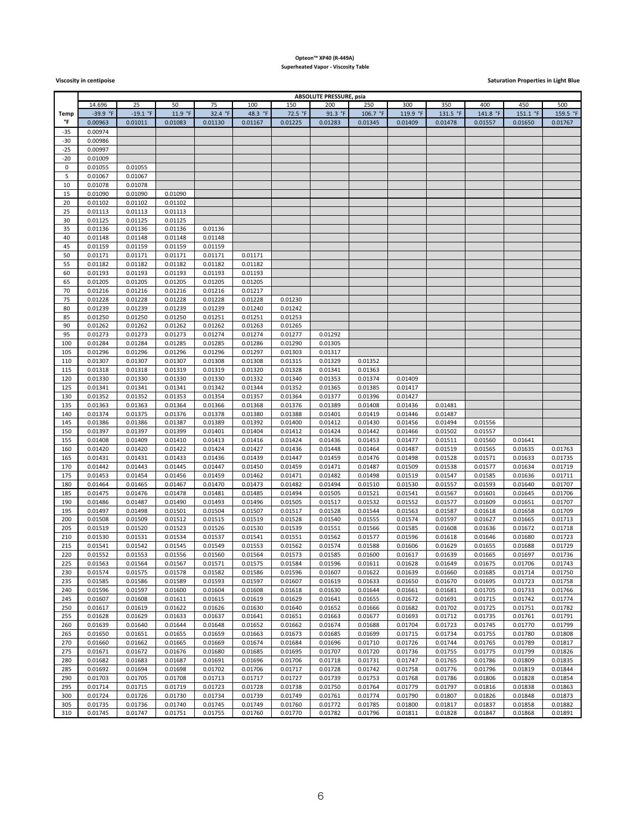### **Opteon™ XP40 (R-449A) Superheated Vapor - Viscosity Table**

**Viscosity** in centipoise **Saturation Properties in Light Blue** 

| <b>ABSOLUTE PRESSURE, psia</b> |                    |                    |                    |                    |                    |                    |                    |                    |                    |                    |                    |                    |                    |
|--------------------------------|--------------------|--------------------|--------------------|--------------------|--------------------|--------------------|--------------------|--------------------|--------------------|--------------------|--------------------|--------------------|--------------------|
|                                | 14.696             | 25                 | 50                 | 75                 | 100                | 150                | 200                | 250                | 300                | 350                | 400                | 450                | 500                |
| <b>Temp</b>                    | $-39.9$ °F         | $-19.1 °F$         | 11.9 °F            | 32.4 °F            | 48.3 °F            | 72.5 °F            | 91.3 °F            | 106.7 °F           | 119.9 °F           | 131.5 °F           | 141.8 °F           | 151.1 °F           | 159.5 °F           |
| °F                             | 0.00963            | 0.01011            | 0.01083            | 0.01130            | 0.01167            | 0.01225            | 0.01283            | 0.01345            | 0.01409            | 0.01478            | 0.01557            | 0.01650            | 0.01767            |
| $-35$                          | 0.00974            |                    |                    |                    |                    |                    |                    |                    |                    |                    |                    |                    |                    |
| -30                            | 0.00986            |                    |                    |                    |                    |                    |                    |                    |                    |                    |                    |                    |                    |
| $-25$                          | 0.00997            |                    |                    |                    |                    |                    |                    |                    |                    |                    |                    |                    |                    |
| -20                            | 0.01009            |                    |                    |                    |                    |                    |                    |                    |                    |                    |                    |                    |                    |
| 0                              | 0.01055            | 0.01055            |                    |                    |                    |                    |                    |                    |                    |                    |                    |                    |                    |
| 5<br>10                        | 0.01067<br>0.01078 | 0.01067<br>0.01078 |                    |                    |                    |                    |                    |                    |                    |                    |                    |                    |                    |
| 15                             | 0.01090            | 0.01090            | 0.01090            |                    |                    |                    |                    |                    |                    |                    |                    |                    |                    |
| 20                             | 0.01102            | 0.01102            | 0.01102            |                    |                    |                    |                    |                    |                    |                    |                    |                    |                    |
| 25                             | 0.01113            | 0.01113            | 0.01113            |                    |                    |                    |                    |                    |                    |                    |                    |                    |                    |
| 30                             | 0.01125            | 0.01125            | 0.01125            |                    |                    |                    |                    |                    |                    |                    |                    |                    |                    |
| 35                             | 0.01136            | 0.01136            | 0.01136            | 0.01136            |                    |                    |                    |                    |                    |                    |                    |                    |                    |
| 40                             | 0.01148            | 0.01148            | 0.01148            | 0.01148            |                    |                    |                    |                    |                    |                    |                    |                    |                    |
| 45                             | 0.01159            | 0.01159            | 0.01159            | 0.01159            |                    |                    |                    |                    |                    |                    |                    |                    |                    |
| 50                             | 0.01171            | 0.01171            | 0.01171            | 0.01171            | 0.01171            |                    |                    |                    |                    |                    |                    |                    |                    |
| 55                             | 0.01182            | 0.01182            | 0.01182            | 0.01182            | 0.01182            |                    |                    |                    |                    |                    |                    |                    |                    |
| 60                             | 0.01193            | 0.01193            | 0.01193            | 0.01193            | 0.01193            |                    |                    |                    |                    |                    |                    |                    |                    |
| 65                             | 0.01205            | 0.01205            | 0.01205            | 0.01205            | 0.01205            |                    |                    |                    |                    |                    |                    |                    |                    |
| 70                             | 0.01216            | 0.01216            | 0.01216            | 0.01216            | 0.01217            |                    |                    |                    |                    |                    |                    |                    |                    |
| 75<br>80                       | 0.01228<br>0.01239 | 0.01228<br>0.01239 | 0.01228<br>0.01239 | 0.01228<br>0.01239 | 0.01228<br>0.01240 | 0.01230<br>0.01242 |                    |                    |                    |                    |                    |                    |                    |
| 85                             | 0.01250            | 0.01250            | 0.01250            | 0.01251            | 0.01251            | 0.01253            |                    |                    |                    |                    |                    |                    |                    |
| 90                             | 0.01262            | 0.01262            | 0.01262            | 0.01262            | 0.01263            | 0.01265            |                    |                    |                    |                    |                    |                    |                    |
| 95                             | 0.01273            | 0.01273            | 0.01273            | 0.01274            | 0.01274            | 0.01277            | 0.01292            |                    |                    |                    |                    |                    |                    |
| 100                            | 0.01284            | 0.01284            | 0.01285            | 0.01285            | 0.01286            | 0.01290            | 0.01305            |                    |                    |                    |                    |                    |                    |
| 105                            | 0.01296            | 0.01296            | 0.01296            | 0.01296            | 0.01297            | 0.01303            | 0.01317            |                    |                    |                    |                    |                    |                    |
| 110                            | 0.01307            | 0.01307            | 0.01307            | 0.01308            | 0.01308            | 0.01315            | 0.01329            | 0.01352            |                    |                    |                    |                    |                    |
| 115                            | 0.01318            | 0.01318            | 0.01319            | 0.01319            | 0.01320            | 0.01328            | 0.01341            | 0.01363            |                    |                    |                    |                    |                    |
| 120                            | 0.01330            | 0.01330            | 0.01330            | 0.01330            | 0.01332            | 0.01340            | 0.01353            | 0.01374            | 0.01409            |                    |                    |                    |                    |
| 125                            | 0.01341            | 0.01341            | 0.01341            | 0.01342            | 0.01344            | 0.01352            | 0.01365            | 0.01385            | 0.01417            |                    |                    |                    |                    |
| 130                            | 0.01352            | 0.01352            | 0.01353            | 0.01354            | 0.01357            | 0.01364            | 0.01377            | 0.01396            | 0.01427            |                    |                    |                    |                    |
| 135                            | 0.01363            | 0.01363            | 0.01364            | 0.01366            | 0.01368            | 0.01376            | 0.01389            | 0.01408            | 0.01436            | 0.01481            |                    |                    |                    |
| 140<br>145                     | 0.01374<br>0.01386 | 0.01375<br>0.01386 | 0.01376<br>0.01387 | 0.01378<br>0.01389 | 0.01380<br>0.01392 | 0.01388<br>0.01400 | 0.01401<br>0.01412 | 0.01419<br>0.01430 | 0.01446<br>0.01456 | 0.01487<br>0.01494 | 0.01556            |                    |                    |
| 150                            | 0.01397            | 0.01397            | 0.01399            | 0.01401            | 0.01404            | 0.01412            | 0.01424            | 0.01442            | 0.01466            | 0.01502            | 0.01557            |                    |                    |
| 155                            | 0.01408            | 0.01409            | 0.01410            | 0.01413            | 0.01416            | 0.01424            | 0.01436            | 0.01453            | 0.01477            | 0.01511            | 0.01560            | 0.01641            |                    |
| 160                            | 0.01420            | 0.01420            | 0.01422            | 0.01424            | 0.01427            | 0.01436            | 0.01448            | 0.01464            | 0.01487            | 0.01519            | 0.01565            | 0.01635            | 0.01763            |
| 165                            | 0.01431            | 0.01431            | 0.01433            | 0.01436            | 0.01439            | 0.01447            | 0.01459            | 0.01476            | 0.01498            | 0.01528            | 0.01571            | 0.01633            | 0.01735            |
| 170                            | 0.01442            | 0.01443            | 0.01445            | 0.01447            | 0.01450            | 0.01459            | 0.01471            | 0.01487            | 0.01509            | 0.01538            | 0.01577            | 0.01634            | 0.01719            |
| 175                            | 0.01453            | 0.01454            | 0.01456            | 0.01459            | 0.01462            | 0.01471            | 0.01482            | 0.01498            | 0.01519            | 0.01547            | 0.01585            | 0.01636            | 0.01711            |
| 180                            | 0.01464            | 0.01465            | 0.01467            | 0.01470            | 0.01473            | 0.01482            | 0.01494            | 0.01510            | 0.01530            | 0.01557            | 0.01593            | 0.01640            | 0.01707            |
| 185                            | 0.01475            | 0.01476            | 0.01478            | 0.01481            | 0.01485            | 0.01494            | 0.01505            | 0.01521            | 0.01541            | 0.01567            | 0.01601            | 0.01645            | 0.01706            |
| 190                            | 0.01486            | 0.01487            | 0.01490            | 0.01493            | 0.01496            | 0.01505            | 0.01517            | 0.01532            | 0.01552            | 0.01577            | 0.01609            | 0.01651            | 0.01707            |
| 195                            | 0.01497            | 0.01498            | 0.01501            | 0.01504            | 0.01507            | 0.01517            | 0.01528            | 0.01544            | 0.01563            | 0.01587            | 0.01618            | 0.01658            | 0.01709            |
| 200<br>205                     | 0.01508<br>0.01519 | 0.01509<br>0.01520 | 0.01512<br>0.01523 | 0.01515<br>0.01526 | 0.01519<br>0.01530 | 0.01528<br>0.01539 | 0.01540<br>0.01551 | 0.01555<br>0.01566 | 0.01574<br>0.01585 | 0.01597<br>0.01608 | 0.01627<br>0.01636 | 0.01665<br>0.01672 | 0.01713<br>0.01718 |
| 210                            | 0.01530            | 0.01531            | 0.01534            | 0.01537            | 0.01541            | 0.01551            | 0.01562            | 0.01577            | 0.01596            | 0.01618            | 0.01646            | 0.01680            | 0.01723            |
| 215                            | 0.01541            | 0.01542            | 0.01545            | 0.01549            | 0.01553            | 0.01562            | 0.01574            | 0.01588            | 0.01606            | 0.01629            | 0.01655            | 0.01688            | 0.01729            |
| 220                            | 0.01552            | 0.01553            | 0.01556            | 0.01560            | 0.01564            | 0.01573            | 0.01585            | 0.01600            | 0.01617            | 0.01639            | 0.01665            | 0.01697            | 0.01736            |
| 225                            | 0.01563            | 0.01564            | 0.01567            | 0.01571            | 0.01575            | 0.01584            | 0.01596            | 0.01611            | 0.01628            | 0.01649            | 0.01675            | 0.01706            | 0.01743            |
| 230                            | 0.01574            | 0.01575            | 0.01578            | 0.01582            | 0.01586            | 0.01596            | 0.01607            | 0.01622            | 0.01639            | 0.01660            | 0.01685            | 0.01714            | 0.01750            |
| 235                            | 0.01585            | 0.01586            | 0.01589            | 0.01593            | 0.01597            | 0.01607            | 0.01619            | 0.01633            | 0.01650            | 0.01670            | 0.01695            | 0.01723            | 0.01758            |
| 240                            | 0.01596            | 0.01597            | 0.01600            | 0.01604            | 0.01608            | 0.01618            | 0.01630            | 0.01644            | 0.01661            | 0.01681            | 0.01705            | 0.01733            | 0.01766            |
| 245                            | 0.01607            | 0.01608            | 0.01611            | 0.01615            | 0.01619            | 0.01629            | 0.01641            | 0.01655            | 0.01672            | 0.01691            | 0.01715            | 0.01742            | 0.01774            |
| 250                            | 0.01617            | 0.01619            | 0.01622            | 0.01626            | 0.01630            | 0.01640            | 0.01652            | 0.01666            | 0.01682            | 0.01702            | 0.01725            | 0.01751            | 0.01782            |
| 255                            | 0.01628            | 0.01629            | 0.01633            | 0.01637            | 0.01641            | 0.01651            | 0.01663            | 0.01677            | 0.01693            | 0.01712            | 0.01735            | 0.01761            | 0.01791            |
| 260                            | 0.01639            | 0.01640            | 0.01644            | 0.01648            | 0.01652            | 0.01662            | 0.01674            | 0.01688            | 0.01704            | 0.01723            | 0.01745            | 0.01770            | 0.01799            |
| 265<br>270                     | 0.01650<br>0.01660 | 0.01651<br>0.01662 | 0.01655<br>0.01665 | 0.01659<br>0.01669 | 0.01663<br>0.01674 | 0.01673<br>0.01684 | 0.01685<br>0.01696 | 0.01699<br>0.01710 | 0.01715<br>0.01726 | 0.01734<br>0.01744 | 0.01755<br>0.01765 | 0.01780<br>0.01789 | 0.01808<br>0.01817 |
| 275                            | 0.01671            | 0.01672            | 0.01676            | 0.01680            | 0.01685            | 0.01695            | 0.01707            | 0.01720            | 0.01736            | 0.01755            | 0.01775            | 0.01799            | 0.01826            |
| 280                            | 0.01682            | 0.01683            | 0.01687            | 0.01691            | 0.01696            | 0.01706            | 0.01718            | 0.01731            | 0.01747            | 0.01765            | 0.01786            | 0.01809            | 0.01835            |
| 285                            | 0.01692            | 0.01694            | 0.01698            | 0.01702            | 0.01706            | 0.01717            | 0.01728            | 0.01742            | 0.01758            | 0.01776            | 0.01796            | 0.01819            | 0.01844            |
| 290                            | 0.01703            | 0.01705            | 0.01708            | 0.01713            | 0.01717            | 0.01727            | 0.01739            | 0.01753            | 0.01768            | 0.01786            | 0.01806            | 0.01828            | 0.01854            |
| 295                            | 0.01714            | 0.01715            | 0.01719            | 0.01723            | 0.01728            | 0.01738            | 0.01750            | 0.01764            | 0.01779            | 0.01797            | 0.01816            | 0.01838            | 0.01863            |
| 300                            | 0.01724            | 0.01726            | 0.01730            | 0.01734            | 0.01739            | 0.01749            | 0.01761            | 0.01774            | 0.01790            | 0.01807            | 0.01826            | 0.01848            | 0.01873            |
| 305                            | 0.01735            | 0.01736            | 0.01740            | 0.01745            | 0.01749            | 0.01760            | 0.01772            | 0.01785            | 0.01800            | 0.01817            | 0.01837            | 0.01858            | 0.01882            |
| 310                            | 0.01745            | 0.01747            | 0.01751            | 0.01755            | 0.01760            | 0.01770            | 0.01782            | 0.01796            | 0.01811            | 0.01828            | 0.01847            | 0.01868            | 0.01891            |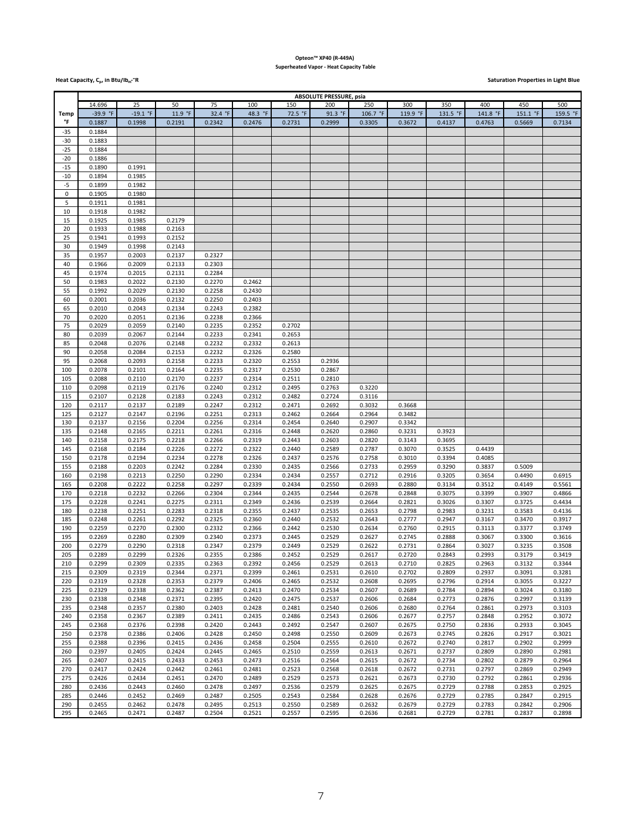### **Opteon™ XP40 (R-449A) Superheated Vapor - Heat Capacity Table**

**Heat Capacity, C<sub>p</sub>, in Btu/lb<sub>m</sub>-°R Saturation Properties in Light Blue** 

|             | <b>ABSOLUTE PRESSURE, psia</b> |            |         |         |         |         |         |          |          |          |          |          |          |
|-------------|--------------------------------|------------|---------|---------|---------|---------|---------|----------|----------|----------|----------|----------|----------|
|             | 14.696                         | 25         | 50      | 75      | 100     | 150     | 200     | 250      | 300      | 350      | 400      | 450      | 500      |
|             | $-39.9$ °F                     | $-19.1 °F$ | 11.9 °F | 32.4 °F | 48.3 °F | 72.5 °F | 91.3 °F | 106.7 °F | 119.9 °F | 131.5 °F | 141.8 °F | 151.1 °F | 159.5 °F |
| <b>Temp</b> |                                |            |         |         |         |         |         |          |          |          |          |          |          |
| °F          | 0.1887                         | 0.1998     | 0.2191  | 0.2342  | 0.2476  | 0.2731  | 0.2999  | 0.3305   | 0.3672   | 0.4137   | 0.4763   | 0.5669   | 0.7134   |
| $-35$       | 0.1884                         |            |         |         |         |         |         |          |          |          |          |          |          |
| $-30$       | 0.1883                         |            |         |         |         |         |         |          |          |          |          |          |          |
| $-25$       | 0.1884                         |            |         |         |         |         |         |          |          |          |          |          |          |
|             |                                |            |         |         |         |         |         |          |          |          |          |          |          |
| $-20$       | 0.1886                         |            |         |         |         |         |         |          |          |          |          |          |          |
| $-15$       | 0.1890                         | 0.1991     |         |         |         |         |         |          |          |          |          |          |          |
| $-10$       | 0.1894                         | 0.1985     |         |         |         |         |         |          |          |          |          |          |          |
| $-5$        | 0.1899                         | 0.1982     |         |         |         |         |         |          |          |          |          |          |          |
| $\mathsf 0$ | 0.1905                         | 0.1980     |         |         |         |         |         |          |          |          |          |          |          |
|             |                                |            |         |         |         |         |         |          |          |          |          |          |          |
| 5           | 0.1911                         | 0.1981     |         |         |         |         |         |          |          |          |          |          |          |
| 10          | 0.1918                         | 0.1982     |         |         |         |         |         |          |          |          |          |          |          |
| 15          | 0.1925                         | 0.1985     | 0.2179  |         |         |         |         |          |          |          |          |          |          |
| 20          | 0.1933                         | 0.1988     | 0.2163  |         |         |         |         |          |          |          |          |          |          |
| 25          | 0.1941                         | 0.1993     | 0.2152  |         |         |         |         |          |          |          |          |          |          |
|             |                                |            |         |         |         |         |         |          |          |          |          |          |          |
| 30          | 0.1949                         | 0.1998     | 0.2143  |         |         |         |         |          |          |          |          |          |          |
| 35          | 0.1957                         | 0.2003     | 0.2137  | 0.2327  |         |         |         |          |          |          |          |          |          |
| 40          | 0.1966                         | 0.2009     | 0.2133  | 0.2303  |         |         |         |          |          |          |          |          |          |
| 45          | 0.1974                         | 0.2015     | 0.2131  | 0.2284  |         |         |         |          |          |          |          |          |          |
| 50          | 0.1983                         | 0.2022     | 0.2130  | 0.2270  | 0.2462  |         |         |          |          |          |          |          |          |
|             |                                |            |         |         |         |         |         |          |          |          |          |          |          |
| 55          | 0.1992                         | 0.2029     | 0.2130  | 0.2258  | 0.2430  |         |         |          |          |          |          |          |          |
| 60          | 0.2001                         | 0.2036     | 0.2132  | 0.2250  | 0.2403  |         |         |          |          |          |          |          |          |
| 65          | 0.2010                         | 0.2043     | 0.2134  | 0.2243  | 0.2382  |         |         |          |          |          |          |          |          |
| 70          | 0.2020                         | 0.2051     | 0.2136  | 0.2238  | 0.2366  |         |         |          |          |          |          |          |          |
| 75          | 0.2029                         | 0.2059     | 0.2140  | 0.2235  | 0.2352  | 0.2702  |         |          |          |          |          |          |          |
| 80          | 0.2039                         | 0.2067     | 0.2144  | 0.2233  | 0.2341  | 0.2653  |         |          |          |          |          |          |          |
|             |                                |            |         |         |         |         |         |          |          |          |          |          |          |
| 85          | 0.2048                         | 0.2076     | 0.2148  | 0.2232  | 0.2332  | 0.2613  |         |          |          |          |          |          |          |
| 90          | 0.2058                         | 0.2084     | 0.2153  | 0.2232  | 0.2326  | 0.2580  |         |          |          |          |          |          |          |
| 95          | 0.2068                         | 0.2093     | 0.2158  | 0.2233  | 0.2320  | 0.2553  | 0.2936  |          |          |          |          |          |          |
| 100         | 0.2078                         | 0.2101     | 0.2164  | 0.2235  | 0.2317  | 0.2530  | 0.2867  |          |          |          |          |          |          |
| 105         | 0.2088                         | 0.2110     | 0.2170  | 0.2237  | 0.2314  | 0.2511  | 0.2810  |          |          |          |          |          |          |
|             |                                |            |         |         |         |         |         |          |          |          |          |          |          |
| 110         | 0.2098                         | 0.2119     | 0.2176  | 0.2240  | 0.2312  | 0.2495  | 0.2763  | 0.3220   |          |          |          |          |          |
| 115         | 0.2107                         | 0.2128     | 0.2183  | 0.2243  | 0.2312  | 0.2482  | 0.2724  | 0.3116   |          |          |          |          |          |
| 120         | 0.2117                         | 0.2137     | 0.2189  | 0.2247  | 0.2312  | 0.2471  | 0.2692  | 0.3032   | 0.3668   |          |          |          |          |
| 125         | 0.2127                         | 0.2147     | 0.2196  | 0.2251  | 0.2313  | 0.2462  | 0.2664  | 0.2964   | 0.3482   |          |          |          |          |
| 130         | 0.2137                         | 0.2156     | 0.2204  | 0.2256  | 0.2314  | 0.2454  | 0.2640  | 0.2907   | 0.3342   |          |          |          |          |
|             |                                |            |         |         |         |         |         |          |          |          |          |          |          |
| 135         | 0.2148                         | 0.2165     | 0.2211  | 0.2261  | 0.2316  | 0.2448  | 0.2620  | 0.2860   | 0.3231   | 0.3923   |          |          |          |
| 140         | 0.2158                         | 0.2175     | 0.2218  | 0.2266  | 0.2319  | 0.2443  | 0.2603  | 0.2820   | 0.3143   | 0.3695   |          |          |          |
| 145         | 0.2168                         | 0.2184     | 0.2226  | 0.2272  | 0.2322  | 0.2440  | 0.2589  | 0.2787   | 0.3070   | 0.3525   | 0.4439   |          |          |
| 150         | 0.2178                         | 0.2194     | 0.2234  | 0.2278  | 0.2326  | 0.2437  | 0.2576  | 0.2758   | 0.3010   | 0.3394   | 0.4085   |          |          |
| 155         | 0.2188                         | 0.2203     | 0.2242  | 0.2284  | 0.2330  | 0.2435  | 0.2566  | 0.2733   | 0.2959   | 0.3290   | 0.3837   | 0.5009   |          |
|             |                                |            |         |         |         |         |         |          |          |          |          |          |          |
| 160         | 0.2198                         | 0.2213     | 0.2250  | 0.2290  | 0.2334  | 0.2434  | 0.2557  | 0.2712   | 0.2916   | 0.3205   | 0.3654   | 0.4490   | 0.6915   |
| 165         | 0.2208                         | 0.2222     | 0.2258  | 0.2297  | 0.2339  | 0.2434  | 0.2550  | 0.2693   | 0.2880   | 0.3134   | 0.3512   | 0.4149   | 0.5561   |
| 170         | 0.2218                         | 0.2232     | 0.2266  | 0.2304  | 0.2344  | 0.2435  | 0.2544  | 0.2678   | 0.2848   | 0.3075   | 0.3399   | 0.3907   | 0.4866   |
| 175         | 0.2228                         | 0.2241     | 0.2275  | 0.2311  | 0.2349  | 0.2436  | 0.2539  | 0.2664   | 0.2821   | 0.3026   | 0.3307   | 0.3725   | 0.4434   |
| 180         | 0.2238                         | 0.2251     | 0.2283  | 0.2318  | 0.2355  | 0.2437  | 0.2535  | 0.2653   | 0.2798   | 0.2983   | 0.3231   | 0.3583   | 0.4136   |
|             |                                |            |         |         |         |         |         |          |          |          |          |          |          |
| 185         | 0.2248                         | 0.2261     | 0.2292  | 0.2325  | 0.2360  | 0.2440  | 0.2532  | 0.2643   | 0.2777   | 0.2947   | 0.3167   | 0.3470   | 0.3917   |
| 190         | 0.2259                         | 0.2270     | 0.2300  | 0.2332  | 0.2366  | 0.2442  | 0.2530  | 0.2634   | 0.2760   | 0.2915   | 0.3113   | 0.3377   | 0.3749   |
| 195         | 0.2269                         | 0.2280     | 0.2309  | 0.2340  | 0.2373  | 0.2445  | 0.2529  | 0.2627   | 0.2745   | 0.2888   | 0.3067   | 0.3300   | 0.3616   |
| 200         | 0.2279                         | 0.2290     | 0.2318  | 0.2347  | 0.2379  | 0.2449  | 0.2529  | 0.2622   | 0.2731   | 0.2864   | 0.3027   | 0.3235   | 0.3508   |
| 205         | 0.2289                         | 0.2299     | 0.2326  | 0.2355  | 0.2386  | 0.2452  | 0.2529  | 0.2617   | 0.2720   | 0.2843   | 0.2993   | 0.3179   | 0.3419   |
|             |                                |            |         |         |         |         |         |          |          |          |          |          |          |
| 210         | 0.2299                         | 0.2309     | 0.2335  | 0.2363  | 0.2392  | 0.2456  | 0.2529  | 0.2613   | 0.2710   | 0.2825   | 0.2963   | 0.3132   | 0.3344   |
| 215         | 0.2309                         | 0.2319     | 0.2344  | 0.2371  | 0.2399  | 0.2461  | 0.2531  | 0.2610   | 0.2702   | 0.2809   | 0.2937   | 0.3091   | 0.3281   |
| 220         | 0.2319                         | 0.2328     | 0.2353  | 0.2379  | 0.2406  | 0.2465  | 0.2532  | 0.2608   | 0.2695   | 0.2796   | 0.2914   | 0.3055   | 0.3227   |
| 225         | 0.2329                         | 0.2338     | 0.2362  | 0.2387  | 0.2413  | 0.2470  | 0.2534  | 0.2607   | 0.2689   | 0.2784   | 0.2894   | 0.3024   | 0.3180   |
| 230         | 0.2338                         | 0.2348     | 0.2371  | 0.2395  | 0.2420  | 0.2475  | 0.2537  | 0.2606   | 0.2684   | 0.2773   | 0.2876   | 0.2997   | 0.3139   |
| 235         | 0.2348                         | 0.2357     | 0.2380  | 0.2403  | 0.2428  | 0.2481  | 0.2540  | 0.2606   | 0.2680   | 0.2764   | 0.2861   | 0.2973   | 0.3103   |
|             |                                |            |         |         |         |         |         |          |          |          |          |          |          |
| 240         | 0.2358                         | 0.2367     | 0.2389  | 0.2411  | 0.2435  | 0.2486  | 0.2543  | 0.2606   | 0.2677   | 0.2757   | 0.2848   | 0.2952   | 0.3072   |
| 245         | 0.2368                         | 0.2376     | 0.2398  | 0.2420  | 0.2443  | 0.2492  | 0.2547  | 0.2607   | 0.2675   | 0.2750   | 0.2836   | 0.2933   | 0.3045   |
| 250         | 0.2378                         | 0.2386     | 0.2406  | 0.2428  | 0.2450  | 0.2498  | 0.2550  | 0.2609   | 0.2673   | 0.2745   | 0.2826   | 0.2917   | 0.3021   |
| 255         | 0.2388                         | 0.2396     | 0.2415  | 0.2436  | 0.2458  | 0.2504  | 0.2555  | 0.2610   | 0.2672   | 0.2740   | 0.2817   | 0.2902   | 0.2999   |
| 260         | 0.2397                         | 0.2405     | 0.2424  | 0.2445  | 0.2465  | 0.2510  | 0.2559  | 0.2613   | 0.2671   | 0.2737   | 0.2809   | 0.2890   | 0.2981   |
|             |                                |            |         |         |         |         |         |          |          |          |          |          |          |
| 265         | 0.2407                         | 0.2415     | 0.2433  | 0.2453  | 0.2473  | 0.2516  | 0.2564  | 0.2615   | 0.2672   | 0.2734   | 0.2802   | 0.2879   | 0.2964   |
| 270         | 0.2417                         | 0.2424     | 0.2442  | 0.2461  | 0.2481  | 0.2523  | 0.2568  | 0.2618   | 0.2672   | 0.2731   | 0.2797   | 0.2869   | 0.2949   |
| 275         | 0.2426                         | 0.2434     | 0.2451  | 0.2470  | 0.2489  | 0.2529  | 0.2573  | 0.2621   | 0.2673   | 0.2730   | 0.2792   | 0.2861   | 0.2936   |
| 280         | 0.2436                         | 0.2443     | 0.2460  | 0.2478  | 0.2497  | 0.2536  | 0.2579  | 0.2625   | 0.2675   | 0.2729   | 0.2788   | 0.2853   | 0.2925   |
| 285         | 0.2446                         | 0.2452     | 0.2469  | 0.2487  | 0.2505  | 0.2543  | 0.2584  | 0.2628   | 0.2676   | 0.2729   | 0.2785   | 0.2847   | 0.2915   |
|             |                                |            |         |         |         |         |         |          |          |          |          |          |          |
| 290         | 0.2455                         | 0.2462     | 0.2478  | 0.2495  | 0.2513  | 0.2550  | 0.2589  | 0.2632   | 0.2679   | 0.2729   | 0.2783   | 0.2842   | 0.2906   |
| 295         | 0.2465                         | 0.2471     | 0.2487  | 0.2504  | 0.2521  | 0.2557  | 0.2595  | 0.2636   | 0.2681   | 0.2729   | 0.2781   | 0.2837   | 0.2898   |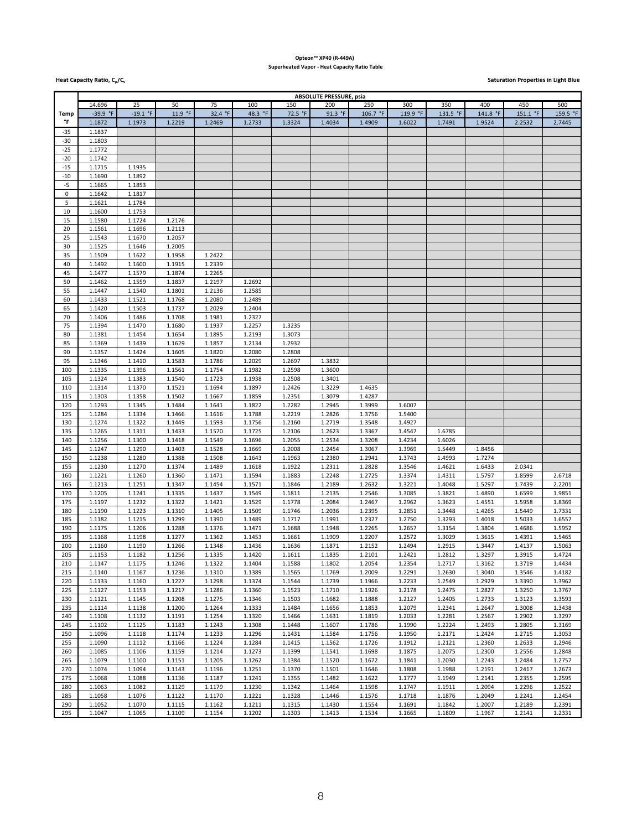### **Opteon™ XP40 (R-449A) Superheated Vapor - Heat Capacity Ratio Table**

**Heat Capacity Ratio, C<sub>p</sub>/C<sub>v</sub> contracts the contract of the contract of the contract of the contract of the contract of the contract of the contract of the contract of the contract of the contract of the contract of the** 

|             | <b>ABSOLUTE PRESSURE, psia</b> |            |         |         |         |                  |         |          |          |          |          |          |          |
|-------------|--------------------------------|------------|---------|---------|---------|------------------|---------|----------|----------|----------|----------|----------|----------|
|             | 14.696                         | 25         | 50      | 75      | 100     | 150              | 200     | 250      | 300      | 350      | 400      | 450      | 500      |
| <b>Temp</b> | $-39.9$ °F                     | $-19.1 °F$ | 11.9 °F | 32.4 °F | 48.3 °F | 72.5 °F          | 91.3 °F | 106.7 °F | 119.9 °F | 131.5 °F | 141.8 °F | 151.1 °F | 159.5 °F |
| °F          | 1.1872                         | 1.1973     | 1.2219  | 1.2469  | 1.2733  | 1.3324           | 1.4034  | 1.4909   | 1.6022   | 1.7491   | 1.9524   | 2.2532   | 2.7445   |
| $-35$       | 1.1837                         |            |         |         |         |                  |         |          |          |          |          |          |          |
| -30         | 1.1803                         |            |         |         |         |                  |         |          |          |          |          |          |          |
| $-25$       | 1.1772                         |            |         |         |         |                  |         |          |          |          |          |          |          |
| $-20$       | 1.1742                         |            |         |         |         |                  |         |          |          |          |          |          |          |
|             |                                |            |         |         |         |                  |         |          |          |          |          |          |          |
| $-15$       | 1.1715                         | 1.1935     |         |         |         |                  |         |          |          |          |          |          |          |
| $-10$       | 1.1690                         | 1.1892     |         |         |         |                  |         |          |          |          |          |          |          |
| $-5$        | 1.1665                         | 1.1853     |         |         |         |                  |         |          |          |          |          |          |          |
| 0           | 1.1642                         | 1.1817     |         |         |         |                  |         |          |          |          |          |          |          |
| 5           | 1.1621                         | 1.1784     |         |         |         |                  |         |          |          |          |          |          |          |
| 10          | 1.1600                         | 1.1753     |         |         |         |                  |         |          |          |          |          |          |          |
| 15          | 1.1580                         | 1.1724     | 1.2176  |         |         |                  |         |          |          |          |          |          |          |
| 20          | 1.1561                         | 1.1696     | 1.2113  |         |         |                  |         |          |          |          |          |          |          |
| 25          | 1.1543                         | 1.1670     | 1.2057  |         |         |                  |         |          |          |          |          |          |          |
| 30          | 1.1525                         | 1.1646     | 1.2005  |         |         |                  |         |          |          |          |          |          |          |
| 35          | 1.1509                         | 1.1622     | 1.1958  | 1.2422  |         |                  |         |          |          |          |          |          |          |
| 40          | 1.1492                         | 1.1600     | 1.1915  | 1.2339  |         |                  |         |          |          |          |          |          |          |
| 45          | 1.1477                         | 1.1579     | 1.1874  | 1.2265  |         |                  |         |          |          |          |          |          |          |
| 50          | 1.1462                         | 1.1559     | 1.1837  | 1.2197  | 1.2692  |                  |         |          |          |          |          |          |          |
| 55          | 1.1447                         | 1.1540     | 1.1801  | 1.2136  | 1.2585  |                  |         |          |          |          |          |          |          |
| 60          | 1.1433                         | 1.1521     | 1.1768  | 1.2080  | 1.2489  |                  |         |          |          |          |          |          |          |
| 65          | 1.1420                         | 1.1503     | 1.1737  | 1.2029  | 1.2404  |                  |         |          |          |          |          |          |          |
| 70          | 1.1406                         | 1.1486     | 1.1708  | 1.1981  | 1.2327  |                  |         |          |          |          |          |          |          |
| 75          | 1.1394                         | 1.1470     | 1.1680  | 1.1937  | 1.2257  | 1.3235           |         |          |          |          |          |          |          |
| 80          | 1.1381                         | 1.1454     | 1.1654  | 1.1895  | 1.2193  | 1.3073           |         |          |          |          |          |          |          |
| 85          | 1.1369                         | 1.1439     | 1.1629  | 1.1857  | 1.2134  | 1.2932           |         |          |          |          |          |          |          |
| 90          | 1.1357                         | 1.1424     | 1.1605  | 1.1820  | 1.2080  | 1.2808           |         |          |          |          |          |          |          |
| 95          | 1.1346                         | 1.1410     | 1.1583  | 1.1786  | 1.2029  | 1.2697           | 1.3832  |          |          |          |          |          |          |
| 100         | 1.1335                         | 1.1396     | 1.1561  | 1.1754  | 1.1982  | 1.2598           | 1.3600  |          |          |          |          |          |          |
| 105         | 1.1324                         | 1.1383     | 1.1540  | 1.1723  | 1.1938  | 1.2508           | 1.3401  |          |          |          |          |          |          |
| 110         | 1.1314                         | 1.1370     | 1.1521  | 1.1694  | 1.1897  | 1.2426           | 1.3229  | 1.4635   |          |          |          |          |          |
| 115         | 1.1303                         | 1.1358     | 1.1502  | 1.1667  | 1.1859  | 1.2351           | 1.3079  | 1.4287   |          |          |          |          |          |
| 120         | 1.1293                         | 1.1345     | 1.1484  | 1.1641  | 1.1822  | 1.2282           | 1.2945  | 1.3999   | 1.6007   |          |          |          |          |
| 125         | 1.1284                         | 1.1334     | 1.1466  | 1.1616  | 1.1788  | 1.2219           | 1.2826  | 1.3756   | 1.5400   |          |          |          |          |
| 130         | 1.1274                         | 1.1322     | 1.1449  | 1.1593  | 1.1756  | 1.2160           | 1.2719  | 1.3548   | 1.4927   |          |          |          |          |
|             |                                |            |         |         |         |                  |         |          |          |          |          |          |          |
| 135         | 1.1265                         | 1.1311     | 1.1433  | 1.1570  | 1.1725  | 1.2106<br>1.2055 | 1.2623  | 1.3367   | 1.4547   | 1.6785   |          |          |          |
| 140         | 1.1256                         | 1.1300     | 1.1418  | 1.1549  | 1.1696  |                  | 1.2534  | 1.3208   | 1.4234   | 1.6026   |          |          |          |
| 145         | 1.1247                         | 1.1290     | 1.1403  | 1.1528  | 1.1669  | 1.2008           | 1.2454  | 1.3067   | 1.3969   | 1.5449   | 1.8456   |          |          |
| 150         | 1.1238                         | 1.1280     | 1.1388  | 1.1508  | 1.1643  | 1.1963           | 1.2380  | 1.2941   | 1.3743   | 1.4993   | 1.7274   |          |          |
| 155         | 1.1230                         | 1.1270     | 1.1374  | 1.1489  | 1.1618  | 1.1922           | 1.2311  | 1.2828   | 1.3546   | 1.4621   | 1.6433   | 2.0341   |          |
| 160         | 1.1221                         | 1.1260     | 1.1360  | 1.1471  | 1.1594  | 1.1883           | 1.2248  | 1.2725   | 1.3374   | 1.4311   | 1.5797   | 1.8599   | 2.6718   |
| 165         | 1.1213                         | 1.1251     | 1.1347  | 1.1454  | 1.1571  | 1.1846           | 1.2189  | 1.2632   | 1.3221   | 1.4048   | 1.5297   | 1.7439   | 2.2201   |
| 170         | 1.1205                         | 1.1241     | 1.1335  | 1.1437  | 1.1549  | 1.1811           | 1.2135  | 1.2546   | 1.3085   | 1.3821   | 1.4890   | 1.6599   | 1.9851   |
| 175         | 1.1197                         | 1.1232     | 1.1322  | 1.1421  | 1.1529  | 1.1778           | 1.2084  | 1.2467   | 1.2962   | 1.3623   | 1.4551   | 1.5958   | 1.8369   |
| 180         | 1.1190                         | 1.1223     | 1.1310  | 1.1405  | 1.1509  | 1.1746           | 1.2036  | 1.2395   | 1.2851   | 1.3448   | 1.4265   | 1.5449   | 1.7331   |
| 185         | 1.1182                         | 1.1215     | 1.1299  | 1.1390  | 1.1489  | 1.1717           | 1.1991  | 1.2327   | 1.2750   | 1.3293   | 1.4018   | 1.5033   | 1.6557   |
| 190         | 1.1175                         | 1.1206     | 1.1288  | 1.1376  | 1.1471  | 1.1688           | 1.1948  | 1.2265   | 1.2657   | 1.3154   | 1.3804   | 1.4686   | 1.5952   |
| 195         | 1.1168                         | 1.1198     | 1.1277  | 1.1362  | 1.1453  | 1.1661           | 1.1909  | 1.2207   | 1.2572   | 1.3029   | 1.3615   | 1.4391   | 1.5465   |
| 200         | 1.1160                         | 1.1190     | 1.1266  | 1.1348  | 1.1436  | 1.1636           | 1.1871  | 1.2152   | 1.2494   | 1.2915   | 1.3447   | 1.4137   | 1.5063   |
| 205         | 1.1153                         | 1.1182     | 1.1256  | 1.1335  | 1.1420  | 1.1611           | 1.1835  | 1.2101   | 1.2421   | 1.2812   | 1.3297   | 1.3915   | 1.4724   |
| 210         | 1.1147                         | 1.1175     | 1.1246  | 1.1322  | 1.1404  | 1.1588           | 1.1802  | 1.2054   | 1.2354   | 1.2717   | 1.3162   | 1.3719   | 1.4434   |
| 215         | 1.1140                         | 1.1167     | 1.1236  | 1.1310  | 1.1389  | 1.1565           | 1.1769  | 1.2009   | 1.2291   | 1.2630   | 1.3040   | 1.3546   | 1.4182   |
| 220         | 1.1133                         | 1.1160     | 1.1227  | 1.1298  | 1.1374  | 1.1544           | 1.1739  | 1.1966   | 1.2233   | 1.2549   | 1.2929   | 1.3390   | 1.3962   |
| 225         | 1.1127                         | 1.1153     | 1.1217  | 1.1286  | 1.1360  | 1.1523           | 1.1710  | 1.1926   | 1.2178   | 1.2475   | 1.2827   | 1.3250   | 1.3767   |
| 230         | 1.1121                         | 1.1145     | 1.1208  | 1.1275  | 1.1346  | 1.1503           | 1.1682  | 1.1888   | 1.2127   | 1.2405   | 1.2733   | 1.3123   | 1.3593   |
| 235         | 1.1114                         | 1.1138     | 1.1200  | 1.1264  | 1.1333  | 1.1484           | 1.1656  | 1.1853   | 1.2079   | 1.2341   | 1.2647   | 1.3008   | 1.3438   |
| 240         | 1.1108                         | 1.1132     | 1.1191  | 1.1254  | 1.1320  | 1.1466           | 1.1631  | 1.1819   | 1.2033   | 1.2281   | 1.2567   | 1.2902   | 1.3297   |
| 245         | 1.1102                         | 1.1125     | 1.1183  | 1.1243  | 1.1308  | 1.1448           | 1.1607  | 1.1786   | 1.1990   | 1.2224   | 1.2493   | 1.2805   | 1.3169   |
| 250         | 1.1096                         | 1.1118     | 1.1174  | 1.1233  | 1.1296  | 1.1431           | 1.1584  | 1.1756   | 1.1950   | 1.2171   | 1.2424   | 1.2715   | 1.3053   |
| 255         | 1.1090                         | 1.1112     | 1.1166  | 1.1224  | 1.1284  | 1.1415           | 1.1562  | 1.1726   | 1.1912   | 1.2121   | 1.2360   | 1.2633   | 1.2946   |
| 260         | 1.1085                         | 1.1106     | 1.1159  | 1.1214  | 1.1273  | 1.1399           | 1.1541  | 1.1698   | 1.1875   | 1.2075   | 1.2300   | 1.2556   | 1.2848   |
| 265         | 1.1079                         | 1.1100     | 1.1151  | 1.1205  | 1.1262  | 1.1384           | 1.1520  | 1.1672   | 1.1841   | 1.2030   | 1.2243   | 1.2484   | 1.2757   |
| 270         | 1.1074                         | 1.1094     | 1.1143  | 1.1196  | 1.1251  | 1.1370           | 1.1501  | 1.1646   | 1.1808   | 1.1988   | 1.2191   | 1.2417   | 1.2673   |
| 275         | 1.1068                         | 1.1088     | 1.1136  | 1.1187  | 1.1241  | 1.1355           | 1.1482  | 1.1622   | 1.1777   | 1.1949   | 1.2141   | 1.2355   | 1.2595   |
| 280         | 1.1063                         | 1.1082     | 1.1129  | 1.1179  | 1.1230  | 1.1342           | 1.1464  | 1.1598   | 1.1747   | 1.1911   | 1.2094   | 1.2296   | 1.2522   |
| 285         | 1.1058                         | 1.1076     | 1.1122  | 1.1170  | 1.1221  | 1.1328           | 1.1446  | 1.1576   | 1.1718   | 1.1876   | 1.2049   | 1.2241   | 1.2454   |
| 290         | 1.1052                         | 1.1070     | 1.1115  | 1.1162  | 1.1211  | 1.1315           | 1.1430  | 1.1554   | 1.1691   | 1.1842   | 1.2007   | 1.2189   | 1.2391   |
| 295         | 1.1047                         | 1.1065     | 1.1109  | 1.1154  | 1.1202  | 1.1303           | 1.1413  | 1.1534   | 1.1665   | 1.1809   | 1.1967   | 1.2141   | 1.2331   |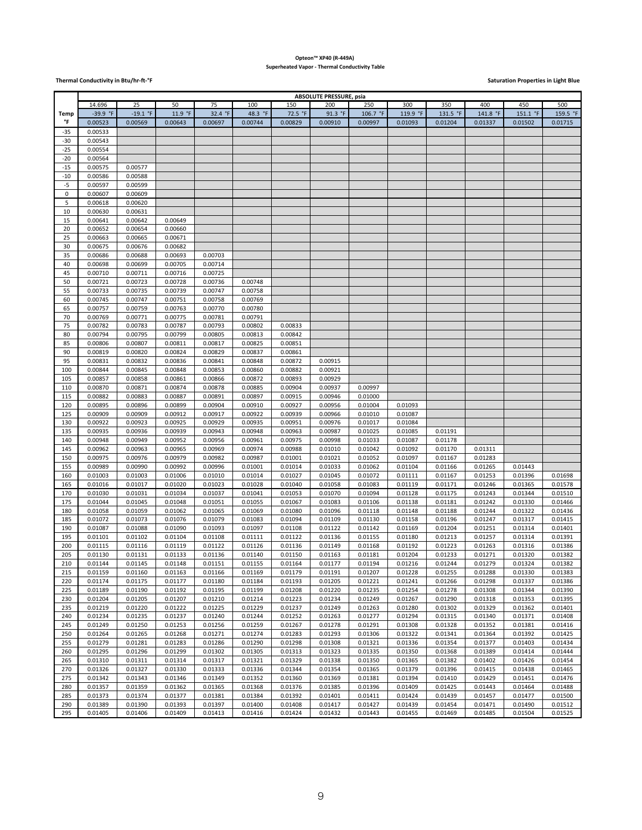#### **Opteon™ XP40 (R-449A) Superheated Vapor - Thermal Conductivity Table**

**Thermal Conductivity in Btu/hr-ft-°F Saturation Properties in Light Blue** 

|             | <b>ABSOLUTE PRESSURE, psia</b> |                    |                    |                    |                    |                    |                    |                    |                    |                    |                    |                    |                    |
|-------------|--------------------------------|--------------------|--------------------|--------------------|--------------------|--------------------|--------------------|--------------------|--------------------|--------------------|--------------------|--------------------|--------------------|
|             | 14.696                         | 25                 | 50                 | 75                 | 100                | 150                | 200                | 250                | 300                | 350                | 400                | 450                | 500                |
| Temp        | -39.9 °F                       | $-19.1 °F$         | 11.9 °F            | 32.4 °F            | 48.3 °F            | 72.5 °F            | 91.3 °F            | 106.7 °F           | 119.9 °F           | 131.5 °F           | 141.8 °F           | 151.1 °F           | 159.5 °F           |
| °F          | 0.00523                        | 0.00569            | 0.00643            | 0.00697            | 0.00744            | 0.00829            | 0.00910            | 0.00997            | 0.01093            | 0.01204            | 0.01337            | 0.01502            | 0.01715            |
| -35         | 0.00533                        |                    |                    |                    |                    |                    |                    |                    |                    |                    |                    |                    |                    |
| $-30$       | 0.00543                        |                    |                    |                    |                    |                    |                    |                    |                    |                    |                    |                    |                    |
| $-25$       | 0.00554                        |                    |                    |                    |                    |                    |                    |                    |                    |                    |                    |                    |                    |
| $-20$       | 0.00564                        |                    |                    |                    |                    |                    |                    |                    |                    |                    |                    |                    |                    |
| $-15$       | 0.00575                        | 0.00577            |                    |                    |                    |                    |                    |                    |                    |                    |                    |                    |                    |
| $-10$       | 0.00586                        | 0.00588            |                    |                    |                    |                    |                    |                    |                    |                    |                    |                    |                    |
| $-5$        | 0.00597                        | 0.00599            |                    |                    |                    |                    |                    |                    |                    |                    |                    |                    |                    |
| $\mathsf 0$ | 0.00607                        | 0.00609            |                    |                    |                    |                    |                    |                    |                    |                    |                    |                    |                    |
| 5           | 0.00618                        | 0.00620            |                    |                    |                    |                    |                    |                    |                    |                    |                    |                    |                    |
| 10          | 0.00630                        | 0.00631            |                    |                    |                    |                    |                    |                    |                    |                    |                    |                    |                    |
| 15          | 0.00641                        | 0.00642            | 0.00649            |                    |                    |                    |                    |                    |                    |                    |                    |                    |                    |
| 20          | 0.00652                        | 0.00654            | 0.00660            |                    |                    |                    |                    |                    |                    |                    |                    |                    |                    |
| 25          | 0.00663                        | 0.00665            | 0.00671            |                    |                    |                    |                    |                    |                    |                    |                    |                    |                    |
| 30          | 0.00675                        | 0.00676            | 0.00682            |                    |                    |                    |                    |                    |                    |                    |                    |                    |                    |
| 35          | 0.00686                        | 0.00688            | 0.00693            | 0.00703            |                    |                    |                    |                    |                    |                    |                    |                    |                    |
| 40          | 0.00698                        | 0.00699            | 0.00705            | 0.00714            |                    |                    |                    |                    |                    |                    |                    |                    |                    |
| 45<br>50    | 0.00710                        | 0.00711            | 0.00716            | 0.00725            |                    |                    |                    |                    |                    |                    |                    |                    |                    |
| 55          | 0.00721<br>0.00733             | 0.00723<br>0.00735 | 0.00728<br>0.00739 | 0.00736<br>0.00747 | 0.00748<br>0.00758 |                    |                    |                    |                    |                    |                    |                    |                    |
| 60          |                                |                    |                    |                    |                    |                    |                    |                    |                    |                    |                    |                    |                    |
| 65          | 0.00745<br>0.00757             | 0.00747<br>0.00759 | 0.00751<br>0.00763 | 0.00758<br>0.00770 | 0.00769<br>0.00780 |                    |                    |                    |                    |                    |                    |                    |                    |
| 70          | 0.00769                        | 0.00771            | 0.00775            | 0.00781            | 0.00791            |                    |                    |                    |                    |                    |                    |                    |                    |
| 75          | 0.00782                        | 0.00783            | 0.00787            | 0.00793            | 0.00802            | 0.00833            |                    |                    |                    |                    |                    |                    |                    |
| 80          | 0.00794                        | 0.00795            | 0.00799            | 0.00805            | 0.00813            | 0.00842            |                    |                    |                    |                    |                    |                    |                    |
| 85          | 0.00806                        | 0.00807            | 0.00811            | 0.00817            | 0.00825            | 0.00851            |                    |                    |                    |                    |                    |                    |                    |
| 90          | 0.00819                        | 0.00820            | 0.00824            | 0.00829            | 0.00837            | 0.00861            |                    |                    |                    |                    |                    |                    |                    |
| 95          | 0.00831                        | 0.00832            | 0.00836            | 0.00841            | 0.00848            | 0.00872            | 0.00915            |                    |                    |                    |                    |                    |                    |
| 100         | 0.00844                        | 0.00845            | 0.00848            | 0.00853            | 0.00860            | 0.00882            | 0.00921            |                    |                    |                    |                    |                    |                    |
| 105         | 0.00857                        | 0.00858            | 0.00861            | 0.00866            | 0.00872            | 0.00893            | 0.00929            |                    |                    |                    |                    |                    |                    |
| 110         | 0.00870                        | 0.00871            | 0.00874            | 0.00878            | 0.00885            | 0.00904            | 0.00937            | 0.00997            |                    |                    |                    |                    |                    |
| 115         | 0.00882                        | 0.00883            | 0.00887            | 0.00891            | 0.00897            | 0.00915            | 0.00946            | 0.01000            |                    |                    |                    |                    |                    |
| 120         | 0.00895                        | 0.00896            | 0.00899            | 0.00904            | 0.00910            | 0.00927            | 0.00956            | 0.01004            | 0.01093            |                    |                    |                    |                    |
| 125         | 0.00909                        | 0.00909            | 0.00912            | 0.00917            | 0.00922            | 0.00939            | 0.00966            | 0.01010            | 0.01087            |                    |                    |                    |                    |
| 130<br>135  | 0.00922<br>0.00935             | 0.00923<br>0.00936 | 0.00925<br>0.00939 | 0.00929<br>0.00943 | 0.00935<br>0.00948 | 0.00951<br>0.00963 | 0.00976<br>0.00987 | 0.01017<br>0.01025 | 0.01084<br>0.01085 | 0.01191            |                    |                    |                    |
| 140         | 0.00948                        | 0.00949            | 0.00952            | 0.00956            | 0.00961            | 0.00975            | 0.00998            | 0.01033            | 0.01087            | 0.01178            |                    |                    |                    |
| 145         | 0.00962                        | 0.00963            | 0.00965            | 0.00969            | 0.00974            | 0.00988            | 0.01010            | 0.01042            | 0.01092            | 0.01170            | 0.01311            |                    |                    |
| 150         | 0.00975                        | 0.00976            | 0.00979            | 0.00982            | 0.00987            | 0.01001            | 0.01021            | 0.01052            | 0.01097            | 0.01167            | 0.01283            |                    |                    |
| 155         | 0.00989                        | 0.00990            | 0.00992            | 0.00996            | 0.01001            | 0.01014            | 0.01033            | 0.01062            | 0.01104            | 0.01166            | 0.01265            | 0.01443            |                    |
| 160         | 0.01003                        | 0.01003            | 0.01006            | 0.01010            | 0.01014            | 0.01027            | 0.01045            | 0.01072            | 0.01111            | 0.01167            | 0.01253            | 0.01396            | 0.01698            |
| 165         | 0.01016                        | 0.01017            | 0.01020            | 0.01023            | 0.01028            | 0.01040            | 0.01058            | 0.01083            | 0.01119            | 0.01171            | 0.01246            | 0.01365            | 0.01578            |
| 170         | 0.01030                        | 0.01031            | 0.01034            | 0.01037            | 0.01041            | 0.01053            | 0.01070            | 0.01094            | 0.01128            | 0.01175            | 0.01243            | 0.01344            | 0.01510            |
| 175         | 0.01044                        | 0.01045            | 0.01048            | 0.01051            | 0.01055            | 0.01067            | 0.01083            | 0.01106            | 0.01138            | 0.01181            | 0.01242            | 0.01330            | 0.01466            |
| 180         | 0.01058                        | 0.01059            | 0.01062            | 0.01065            | 0.01069            | 0.01080            | 0.01096            | 0.01118            | 0.01148            | 0.01188            | 0.01244            | 0.01322            | 0.01436            |
| 185         | 0.01072                        | 0.01073            | 0.01076            | 0.01079            | 0.01083            | 0.01094            | 0.01109            | 0.01130            | 0.01158            | 0.01196            | 0.01247            | 0.01317            | 0.01415            |
| 190         | 0.01087                        | 0.01088            | 0.01090            | 0.01093            | 0.01097            | 0.01108            | 0.01122            | 0.01142            | 0.01169            | 0.01204            | 0.01251            | 0.01314            | 0.01401            |
| 195<br>200  | 0.01101<br>0.01115             | 0.01102<br>0.01116 | 0.01104<br>0.01119 | 0.01108<br>0.01122 | 0.01111<br>0.01126 | 0.01122<br>0.01136 | 0.01136<br>0.01149 | 0.01155<br>0.01168 | 0.01180<br>0.01192 | 0.01213<br>0.01223 | 0.01257<br>0.01263 | 0.01314<br>0.01316 | 0.01391<br>0.01386 |
| 205         | 0.01130                        | 0.01131            | 0.01133            | 0.01136            | 0.01140            | 0.01150            | 0.01163            | 0.01181            | 0.01204            | 0.01233            | 0.01271            | 0.01320            | 0.01382            |
| 210         | 0.01144                        | 0.01145            | 0.01148            | 0.01151            | 0.01155            | 0.01164            | 0.01177            | 0.01194            | 0.01216            | 0.01244            | 0.01279            | 0.01324            | 0.01382            |
| 215         | 0.01159                        | 0.01160            | 0.01163            | 0.01166            | 0.01169            | 0.01179            | 0.01191            | 0.01207            | 0.01228            | 0.01255            | 0.01288            | 0.01330            | 0.01383            |
| 220         | 0.01174                        | 0.01175            | 0.01177            | 0.01180            | 0.01184            | 0.01193            | 0.01205            | 0.01221            | 0.01241            | 0.01266            | 0.01298            | 0.01337            | 0.01386            |
| 225         | 0.01189                        | 0.01190            | 0.01192            | 0.01195            | 0.01199            | 0.01208            | 0.01220            | 0.01235            | 0.01254            | 0.01278            | 0.01308            | 0.01344            | 0.01390            |
| 230         | 0.01204                        | 0.01205            | 0.01207            | 0.01210            | 0.01214            | 0.01223            | 0.01234            | 0.01249            | 0.01267            | 0.01290            | 0.01318            | 0.01353            | 0.01395            |
| 235         | 0.01219                        | 0.01220            | 0.01222            | 0.01225            | 0.01229            | 0.01237            | 0.01249            | 0.01263            | 0.01280            | 0.01302            | 0.01329            | 0.01362            | 0.01401            |
| 240         | 0.01234                        | 0.01235            | 0.01237            | 0.01240            | 0.01244            | 0.01252            | 0.01263            | 0.01277            | 0.01294            | 0.01315            | 0.01340            | 0.01371            | 0.01408            |
| 245         | 0.01249                        | 0.01250            | 0.01253            | 0.01256            | 0.01259            | 0.01267            | 0.01278            | 0.01291            | 0.01308            | 0.01328            | 0.01352            | 0.01381            | 0.01416            |
| 250         | 0.01264                        | 0.01265            | 0.01268            | 0.01271            | 0.01274            | 0.01283            | 0.01293            | 0.01306            | 0.01322            | 0.01341            | 0.01364            | 0.01392            | 0.01425            |
| 255         | 0.01279                        | 0.01281            | 0.01283            | 0.01286            | 0.01290            | 0.01298            | 0.01308            | 0.01321            | 0.01336            | 0.01354            | 0.01377            | 0.01403            | 0.01434            |
| 260         | 0.01295                        | 0.01296            | 0.01299            | 0.01302            | 0.01305            | 0.01313            | 0.01323            | 0.01335            | 0.01350            | 0.01368            | 0.01389            | 0.01414            | 0.01444            |
| 265<br>270  | 0.01310<br>0.01326             | 0.01311<br>0.01327 | 0.01314<br>0.01330 | 0.01317<br>0.01333 | 0.01321<br>0.01336 | 0.01329<br>0.01344 | 0.01338<br>0.01354 | 0.01350<br>0.01365 | 0.01365<br>0.01379 | 0.01382<br>0.01396 | 0.01402<br>0.01415 | 0.01426<br>0.01438 | 0.01454<br>0.01465 |
| 275         | 0.01342                        | 0.01343            | 0.01346            | 0.01349            | 0.01352            | 0.01360            | 0.01369            | 0.01381            | 0.01394            | 0.01410            | 0.01429            | 0.01451            | 0.01476            |
| 280         | 0.01357                        | 0.01359            | 0.01362            | 0.01365            | 0.01368            | 0.01376            | 0.01385            | 0.01396            | 0.01409            | 0.01425            | 0.01443            | 0.01464            | 0.01488            |
| 285         | 0.01373                        | 0.01374            | 0.01377            | 0.01381            | 0.01384            | 0.01392            | 0.01401            | 0.01411            | 0.01424            | 0.01439            | 0.01457            | 0.01477            | 0.01500            |
| 290         | 0.01389                        | 0.01390            | 0.01393            | 0.01397            | 0.01400            | 0.01408            | 0.01417            | 0.01427            | 0.01439            | 0.01454            | 0.01471            | 0.01490            | 0.01512            |
| 295         | 0.01405                        | 0.01406            | 0.01409            | 0.01413            | 0.01416            | 0.01424            | 0.01432            | 0.01443            | 0.01455            | 0.01469            | 0.01485            | 0.01504            | 0.01525            |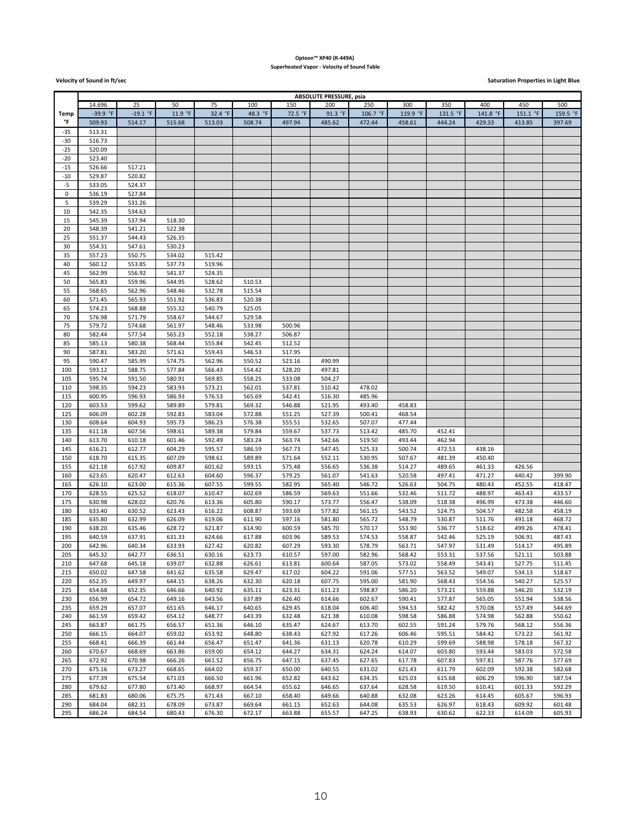### **Opteon™ XP40 (R-449A) Superheated Vapor - Velocity of Sound Table**

**Velocity** of Sound in ft/sec**ond** in the second in the second in the second in the second in the second in the second in the second in the second in the second in the second in the second in the second in the second in th

|       | <b>ABSOLUTE PRESSURE, psia</b> |            |         |         |            |         |         |          |             |          |          |          |          |
|-------|--------------------------------|------------|---------|---------|------------|---------|---------|----------|-------------|----------|----------|----------|----------|
|       | 14.696                         | 25         | 50      | 75      | 100        | 150     | 200     | 250      | 300         | 350      | 400      | 450      | 500      |
| Temp  | -39.9 °F                       | $-19.1 °F$ | 11.9 °F | 32.4 °F | 48.3<br>°F | 72.5 °F | 91.3 °F | 106.7 °F | 119.9<br>°F | 131.5 °F | 141.8 °F | 151.1 °F | 159.5 °F |
| °F    | 509.93                         | 514.17     | 515.68  | 513.03  | 508.74     | 497.94  | 485.62  | 472.44   | 458.61      | 444.24   | 429.33   | 413.85   | 397.69   |
| $-35$ | 513.31                         |            |         |         |            |         |         |          |             |          |          |          |          |
| -30   |                                |            |         |         |            |         |         |          |             |          |          |          |          |
|       | 516.73                         |            |         |         |            |         |         |          |             |          |          |          |          |
| $-25$ | 520.09                         |            |         |         |            |         |         |          |             |          |          |          |          |
| $-20$ | 523.40                         |            |         |         |            |         |         |          |             |          |          |          |          |
| $-15$ | 526.66                         | 517.21     |         |         |            |         |         |          |             |          |          |          |          |
| $-10$ | 529.87                         | 520.82     |         |         |            |         |         |          |             |          |          |          |          |
| $-5$  | 533.05                         | 524.37     |         |         |            |         |         |          |             |          |          |          |          |
| 0     | 536.19                         | 527.84     |         |         |            |         |         |          |             |          |          |          |          |
| 5     | 539.29                         | 531.26     |         |         |            |         |         |          |             |          |          |          |          |
| 10    | 542.35                         | 534.63     |         |         |            |         |         |          |             |          |          |          |          |
| 15    | 545.39                         | 537.94     | 518.30  |         |            |         |         |          |             |          |          |          |          |
|       |                                |            |         |         |            |         |         |          |             |          |          |          |          |
| 20    | 548.39                         | 541.21     | 522.38  |         |            |         |         |          |             |          |          |          |          |
| 25    | 551.37                         | 544.43     | 526.35  |         |            |         |         |          |             |          |          |          |          |
| 30    | 554.31                         | 547.61     | 530.23  |         |            |         |         |          |             |          |          |          |          |
| 35    | 557.23                         | 550.75     | 534.02  | 515.42  |            |         |         |          |             |          |          |          |          |
| 40    | 560.12                         | 553.85     | 537.73  | 519.96  |            |         |         |          |             |          |          |          |          |
| 45    | 562.99                         | 556.92     | 541.37  | 524.35  |            |         |         |          |             |          |          |          |          |
| 50    | 565.83                         | 559.96     | 544.95  | 528.62  | 510.53     |         |         |          |             |          |          |          |          |
| 55    | 568.65                         | 562.96     | 548.46  | 532.78  | 515.54     |         |         |          |             |          |          |          |          |
| 60    | 571.45                         | 565.93     | 551.92  | 536.83  | 520.38     |         |         |          |             |          |          |          |          |
| 65    | 574.23                         | 568.88     | 555.32  | 540.79  | 525.05     |         |         |          |             |          |          |          |          |
| 70    | 576.98                         | 571.79     | 558.67  | 544.67  | 529.58     |         |         |          |             |          |          |          |          |
|       |                                |            |         |         |            |         |         |          |             |          |          |          |          |
| 75    | 579.72                         | 574.68     | 561.97  | 548.46  | 533.98     | 500.96  |         |          |             |          |          |          |          |
| 80    | 582.44                         | 577.54     | 565.23  | 552.18  | 538.27     | 506.87  |         |          |             |          |          |          |          |
| 85    | 585.13                         | 580.38     | 568.44  | 555.84  | 542.45     | 512.52  |         |          |             |          |          |          |          |
| 90    | 587.81                         | 583.20     | 571.61  | 559.43  | 546.53     | 517.95  |         |          |             |          |          |          |          |
| 95    | 590.47                         | 585.99     | 574.75  | 562.96  | 550.52     | 523.16  | 490.99  |          |             |          |          |          |          |
| 100   | 593.12                         | 588.75     | 577.84  | 566.43  | 554.42     | 528.20  | 497.81  |          |             |          |          |          |          |
| 105   | 595.74                         | 591.50     | 580.91  | 569.85  | 558.25     | 533.08  | 504.27  |          |             |          |          |          |          |
| 110   | 598.35                         | 594.23     | 583.93  | 573.21  | 562.01     | 537.81  | 510.42  | 478.02   |             |          |          |          |          |
| 115   | 600.95                         | 596.93     | 586.93  | 576.53  | 565.69     | 542.41  | 516.30  | 485.96   |             |          |          |          |          |
| 120   | 603.53                         | 599.62     | 589.89  | 579.81  | 569.32     | 546.88  | 521.95  | 493.40   | 458.83      |          |          |          |          |
| 125   | 606.09                         | 602.28     | 592.83  | 583.04  | 572.88     | 551.25  | 527.39  | 500.41   | 468.54      |          |          |          |          |
| 130   | 608.64                         | 604.93     | 595.73  | 586.23  | 576.38     | 555.51  | 532.65  | 507.07   | 477.44      |          |          |          |          |
|       |                                |            |         |         |            |         | 537.73  |          |             |          |          |          |          |
| 135   | 611.18                         | 607.56     | 598.61  | 589.38  | 579.84     | 559.67  |         | 513.42   | 485.70      | 452.41   |          |          |          |
| 140   | 613.70                         | 610.18     | 601.46  | 592.49  | 583.24     | 563.74  | 542.66  | 519.50   | 493.44      | 462.94   |          |          |          |
| 145   | 616.21                         | 612.77     | 604.29  | 595.57  | 586.59     | 567.73  | 547.45  | 525.33   | 500.74      | 472.53   | 438.16   |          |          |
| 150   | 618.70                         | 615.35     | 607.09  | 598.61  | 589.89     | 571.64  | 552.11  | 530.95   | 507.67      | 481.39   | 450.40   |          |          |
| 155   | 621.18                         | 617.92     | 609.87  | 601.62  | 593.15     | 575.48  | 556.65  | 536.38   | 514.27      | 489.65   | 461.33   | 426.56   |          |
| 160   | 623.65                         | 620.47     | 612.63  | 604.60  | 596.37     | 579.25  | 561.07  | 541.63   | 520.58      | 497.41   | 471.27   | 440.42   | 399.90   |
| 165   | 626.10                         | 623.00     | 615.36  | 607.55  | 599.55     | 582.95  | 565.40  | 546.72   | 526.63      | 504.75   | 480.43   | 452.55   | 418.47   |
| 170   | 628.55                         | 625.52     | 618.07  | 610.47  | 602.69     | 586.59  | 569.63  | 551.66   | 532.46      | 511.72   | 488.97   | 463.43   | 433.57   |
| 175   | 630.98                         | 628.02     | 620.76  | 613.36  | 605.80     | 590.17  | 573.77  | 556.47   | 538.09      | 518.38   | 496.99   | 473.38   | 446.60   |
| 180   | 633.40                         | 630.52     | 623.43  | 616.22  | 608.87     | 593.69  | 577.82  | 561.15   | 543.52      | 524.75   | 504.57   | 482.58   | 458.19   |
| 185   | 635.80                         | 632.99     | 626.09  | 619.06  | 611.90     | 597.16  | 581.80  | 565.72   | 548.79      | 530.87   | 511.76   | 491.18   | 468.72   |
| 190   | 638.20                         | 635.46     | 628.72  | 621.87  | 614.90     | 600.59  | 585.70  | 570.17   | 553.90      | 536.77   | 518.62   | 499.26   | 478.41   |
| 195   | 640.59                         | 637.91     | 631.33  | 624.66  | 617.88     | 603.96  | 589.53  | 574.53   | 558.87      | 542.46   | 525.19   | 506.91   | 487.43   |
| 200   | 642.96                         | 640.34     | 633.93  | 627.42  | 620.82     | 607.29  | 593.30  | 578.79   | 563.71      | 547.97   | 531.49   | 514.17   | 495.89   |
| 205   | 645.32                         | 642.77     | 636.51  | 630.16  | 623.73     | 610.57  | 597.00  | 582.96   | 568.42      | 553.31   | 537.56   | 521.11   | 503.88   |
|       |                                |            |         |         |            |         |         |          |             |          |          |          |          |
| 210   | 647.68                         | 645.18     | 639.07  | 632.88  | 626.61     | 613.81  | 600.64  | 587.05   | 573.02      | 558.49   | 543.41   | 527.75   | 511.45   |
| 215   | 650.02                         | 647.58     | 641.62  | 635.58  | 629.47     | 617.02  | 604.22  | 591.06   | 577.51      | 563.52   | 549.07   | 534.13   | 518.67   |
| 220   | 652.35                         | 649.97     | 644.15  | 638.26  | 632.30     | 620.18  | 607.75  | 595.00   | 581.90      | 568.43   | 554.56   | 540.27   | 525.57   |
| 225   | 654.68                         | 652.35     | 646.66  | 640.92  | 635.11     | 623.31  | 611.23  | 598.87   | 586.20      | 573.21   | 559.88   | 546.20   | 532.19   |
| 230   | 656.99                         | 654.72     | 649.16  | 643.56  | 637.89     | 626.40  | 614.66  | 602.67   | 590.41      | 577.87   | 565.05   | 551.94   | 538.56   |
| 235   | 659.29                         | 657.07     | 651.65  | 646.17  | 640.65     | 629.45  | 618.04  | 606.40   | 594.53      | 582.42   | 570.08   | 557.49   | 544.69   |
| 240   | 661.59                         | 659.42     | 654.12  | 648.77  | 643.39     | 632.48  | 621.38  | 610.08   | 598.58      | 586.88   | 574.98   | 562.88   | 550.62   |
| 245   | 663.87                         | 661.75     | 656.57  | 651.36  | 646.10     | 635.47  | 624.67  | 613.70   | 602.55      | 591.24   | 579.76   | 568.12   | 556.36   |
| 250   | 666.15                         | 664.07     | 659.02  | 653.92  | 648.80     | 638.43  | 627.92  | 617.26   | 606.46      | 595.51   | 584.42   | 573.22   | 561.92   |
| 255   | 668.41                         | 666.39     | 661.44  | 656.47  | 651.47     | 641.36  | 631.13  | 620.78   | 610.29      | 599.69   | 588.98   | 578.18   | 567.32   |
|       |                                |            |         | 659.00  |            | 644.27  |         |          |             |          |          |          |          |
| 260   | 670.67                         | 668.69     | 663.86  |         | 654.12     |         | 634.31  | 624.24   | 614.07      | 603.80   | 593.44   | 583.03   | 572.58   |
| 265   | 672.92                         | 670.98     | 666.26  | 661.52  | 656.75     | 647.15  | 637.45  | 627.65   | 617.78      | 607.83   | 597.81   | 587.76   | 577.69   |
| 270   | 675.16                         | 673.27     | 668.65  | 664.02  | 659.37     | 650.00  | 640.55  | 631.02   | 621.43      | 611.79   | 602.09   | 592.38   | 582.68   |
| 275   | 677.39                         | 675.54     | 671.03  | 666.50  | 661.96     | 652.82  | 643.62  | 634.35   | 625.03      | 615.68   | 606.29   | 596.90   | 587.54   |
| 280   | 679.62                         | 677.80     | 673.40  | 668.97  | 664.54     | 655.62  | 646.65  | 637.64   | 628.58      | 619.50   | 610.41   | 601.33   | 592.29   |
| 285   | 681.83                         | 680.06     | 675.75  | 671.43  | 667.10     | 658.40  | 649.66  | 640.88   | 632.08      | 623.26   | 614.45   | 605.67   | 596.93   |
| 290   | 684.04                         | 682.31     | 678.09  | 673.87  | 669.64     | 661.15  | 652.63  | 644.08   | 635.53      | 626.97   | 618.43   | 609.92   | 601.48   |
| 295   | 686.24                         | 684.54     | 680.43  | 676.30  | 672.17     | 663.88  | 655.57  | 647.25   | 638.93      | 630.62   | 622.33   | 614.09   | 605.93   |